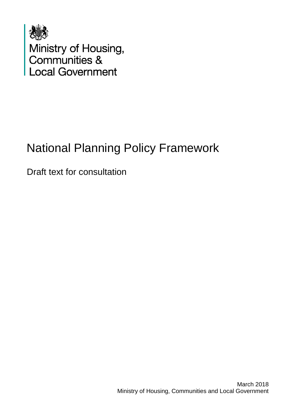

Ministry of Housing,<br>Communities &<br>Local Government

# National Planning Policy Framework

Draft text for consultation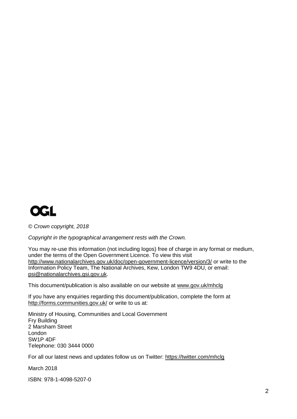

*© Crown copyright, 2018*

*Copyright in the typographical arrangement rests with the Crown.*

You may re-use this information (not including logos) free of charge in any format or medium, under the terms of the Open Government Licence. To view this visit <http://www.nationalarchives.gov.uk/doc/open-government-licence/version/3/> or write to the Information Policy Team, The National Archives, Kew, London TW9 4DU, or email: [psi@nationalarchives.gsi.gov.uk.](mailto:psi@nationalarchives.gsi.gov.uk)

This document/publication is also available on our website at [www.gov.uk/mhclg](http://www.gov.uk/mhclg)

If you have any enquiries regarding this document/publication, complete the form at <http://forms.communities.gov.uk/> or write to us at:

Ministry of Housing, Communities and Local Government Fry Building 2 Marsham Street London SW1P 4DF Telephone: 030 3444 0000

For all our latest news and updates follow us on Twitter:<https://twitter.com/mhclg>

March 2018

ISBN: 978-1-4098-5207-0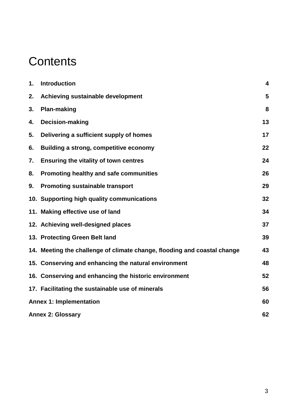# **Contents**

| $\mathbf 1$ .                        | <b>Introduction</b>                                                      | 4  |  |
|--------------------------------------|--------------------------------------------------------------------------|----|--|
| 2.                                   | Achieving sustainable development                                        | 5  |  |
| 3.                                   | <b>Plan-making</b>                                                       | 8  |  |
| 4.                                   | Decision-making                                                          | 13 |  |
| 5.                                   | Delivering a sufficient supply of homes                                  | 17 |  |
| 6.                                   | Building a strong, competitive economy                                   | 22 |  |
| 7.                                   | Ensuring the vitality of town centres                                    | 24 |  |
| 8.                                   | Promoting healthy and safe communities                                   | 26 |  |
| 9.                                   | <b>Promoting sustainable transport</b>                                   | 29 |  |
|                                      | 10. Supporting high quality communications                               | 32 |  |
|                                      | 11. Making effective use of land                                         | 34 |  |
|                                      | 12. Achieving well-designed places                                       | 37 |  |
|                                      | 13. Protecting Green Belt land                                           | 39 |  |
|                                      | 14. Meeting the challenge of climate change, flooding and coastal change | 43 |  |
|                                      | 15. Conserving and enhancing the natural environment                     | 48 |  |
|                                      | 16. Conserving and enhancing the historic environment                    | 52 |  |
|                                      | 17. Facilitating the sustainable use of minerals                         | 56 |  |
| <b>Annex 1: Implementation</b><br>60 |                                                                          |    |  |
|                                      | 62<br><b>Annex 2: Glossary</b>                                           |    |  |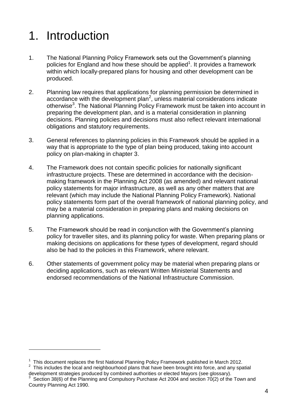# <span id="page-3-0"></span>1. Introduction

 $\overline{a}$ 

- 1. The National Planning Policy Framework sets out the Government's planning policies for England and how these should be applied<sup>1</sup>. It provides a framework within which locally-prepared plans for housing and other development can be produced.
- 2. Planning law requires that applications for planning permission be determined in  $accordance$  with the development plan<sup>2</sup>, unless material considerations indicate otherwise<sup>3</sup>. The National Planning Policy Framework must be taken into account in preparing the development plan, and is a material consideration in planning decisions. Planning policies and decisions must also reflect relevant international obligations and statutory requirements.
- 3. General references to planning policies in this Framework should be applied in a way that is appropriate to the type of plan being produced, taking into account policy on plan-making in chapter 3.
- 4. The Framework does not contain specific policies for nationally significant infrastructure projects. These are determined in accordance with the decisionmaking framework in the Planning Act 2008 (as amended) and relevant national policy statements for major infrastructure, as well as any other matters that are relevant (which may include the National Planning Policy Framework). National policy statements form part of the overall framework of national planning policy, and may be a material consideration in preparing plans and making decisions on planning applications.
- 5. The Framework should be read in conjunction with the Government's planning policy for traveller sites, and its planning policy for waste. When preparing plans or making decisions on applications for these types of development, regard should also be had to the policies in this Framework, where relevant.
- 6. Other statements of government policy may be material when preparing plans or deciding applications, such as relevant Written Ministerial Statements and endorsed recommendations of the National Infrastructure Commission.

 $1$  This document replaces the first National Planning Policy Framework published in March 2012.

 $2$  This includes the local and neighbourhood plans that have been brought into force, and any spatial development strategies produced by combined authorities or elected Mayors (see glossary).

<sup>3</sup> Section 38(6) of the Planning and Compulsory Purchase Act 2004 and section 70(2) of the Town and Country Planning Act 1990.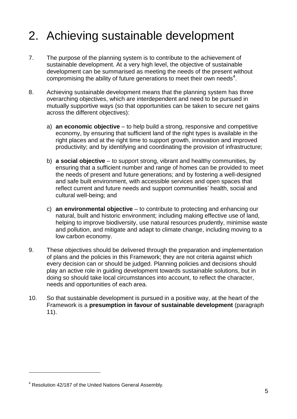# <span id="page-4-0"></span>2. Achieving sustainable development

- 7. The purpose of the planning system is to contribute to the achievement of sustainable development. At a very high level, the objective of sustainable development can be summarised as meeting the needs of the present without compromising the ability of future generations to meet their own needs<sup>4</sup>.
- 8. Achieving sustainable development means that the planning system has three overarching objectives, which are interdependent and need to be pursued in mutually supportive ways (so that opportunities can be taken to secure net gains across the different objectives):
	- a) **an economic objective** to help build a strong, responsive and competitive economy, by ensuring that sufficient land of the right types is available in the right places and at the right time to support growth, innovation and improved productivity; and by identifying and coordinating the provision of infrastructure;
	- b) **a social objective** to support strong, vibrant and healthy communities, by ensuring that a sufficient number and range of homes can be provided to meet the needs of present and future generations; and by fostering a well-designed and safe built environment, with accessible services and open spaces that reflect current and future needs and support communities' health, social and cultural well-being; and
	- c) **an environmental objective** to contribute to protecting and enhancing our natural, built and historic environment; including making effective use of land, helping to improve biodiversity, use natural resources prudently, minimise waste and pollution, and mitigate and adapt to climate change, including moving to a low carbon economy.
- 9. These objectives should be delivered through the preparation and implementation of plans and the policies in this Framework; they are not criteria against which every decision can or should be judged. Planning policies and decisions should play an active role in guiding development towards sustainable solutions, but in doing so should take local circumstances into account, to reflect the character, needs and opportunities of each area.
- 10. So that sustainable development is pursued in a positive way, at the heart of the Framework is a **presumption in favour of sustainable development** (paragraph 11).

<sup>4</sup> Resolution 42/187 of the United Nations General Assembly.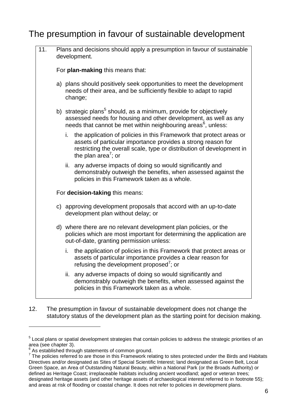## The presumption in favour of sustainable development

| 11. | Plans and decisions should apply a presumption in favour of sustainable<br>development. |                                                                                                                                                                                                                                                    |  |  |
|-----|-----------------------------------------------------------------------------------------|----------------------------------------------------------------------------------------------------------------------------------------------------------------------------------------------------------------------------------------------------|--|--|
|     | For plan-making this means that:                                                        |                                                                                                                                                                                                                                                    |  |  |
|     |                                                                                         | a) plans should positively seek opportunities to meet the development<br>needs of their area, and be sufficiently flexible to adapt to rapid<br>change;                                                                                            |  |  |
|     |                                                                                         | b) strategic plans <sup>5</sup> should, as a minimum, provide for objectively<br>assessed needs for housing and other development, as well as any<br>needs that cannot be met within neighbouring areas <sup>6</sup> , unless:                     |  |  |
|     |                                                                                         | i. the application of policies in this Framework that protect areas or<br>assets of particular importance provides a strong reason for<br>restricting the overall scale, type or distribution of development in<br>the plan area <sup>7</sup> ; or |  |  |
|     |                                                                                         | any adverse impacts of doing so would significantly and<br>ii.<br>demonstrably outweigh the benefits, when assessed against the<br>policies in this Framework taken as a whole.                                                                    |  |  |
|     | For decision-taking this means:                                                         |                                                                                                                                                                                                                                                    |  |  |
|     |                                                                                         | c) approving development proposals that accord with an up-to-date<br>development plan without delay; or                                                                                                                                            |  |  |
|     |                                                                                         | d) where there are no relevant development plan policies, or the<br>policies which are most important for determining the application are<br>out-of-date, granting permission unless:                                                              |  |  |
|     |                                                                                         | the application of policies in this Framework that protect areas or<br>i.<br>assets of particular importance provides a clear reason for<br>refusing the development proposed <sup>7</sup> ; or                                                    |  |  |
|     |                                                                                         | ii. any adverse impacts of doing so would significantly and<br>demonstrably outweigh the benefits, when assessed against the<br>policies in this Framework taken as a whole.                                                                       |  |  |

12. The presumption in favour of sustainable development does not change the statutory status of the development plan as the starting point for decision making.

 $5$  Local plans or spatial development strategies that contain policies to address the strategic priorities of an area (see chapter 3).

 $6$  As established through statements of common ground.

 $7$  The policies referred to are those in this Framework relating to sites protected under the Birds and Habitats Directives and/or designated as Sites of Special Scientific Interest; land designated as Green Belt, Local Green Space, an Area of Outstanding Natural Beauty, within a National Park (or the Broads Authority) or defined as Heritage Coast; irreplaceable habitats including ancient woodland; aged or veteran trees; designated heritage assets (and other heritage assets of archaeological interest referred to in footnote 55); and areas at risk of flooding or coastal change. It does not refer to policies in development plans.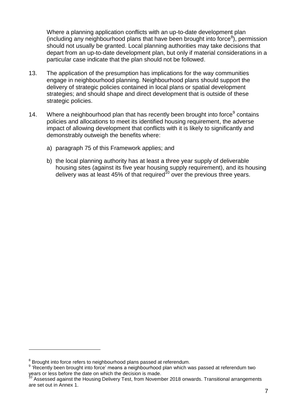Where a planning application conflicts with an up-to-date development plan  $($ including any neighbourhood plans that have been brought into force $<sup>8</sup>$ ), permission</sup> should not usually be granted. Local planning authorities may take decisions that depart from an up-to-date development plan, but only if material considerations in a particular case indicate that the plan should not be followed.

- 13. The application of the presumption has implications for the way communities engage in neighbourhood planning. Neighbourhood plans should support the delivery of strategic policies contained in local plans or spatial development strategies; and should shape and direct development that is outside of these strategic policies.
- 14. Where a neighbourhood plan that has recently been brought into force<sup>9</sup> contains policies and allocations to meet its identified housing requirement, the adverse impact of allowing development that conflicts with it is likely to significantly and demonstrably outweigh the benefits where:
	- a) paragraph 75 of this Framework applies; and
	- b) the local planning authority has at least a three year supply of deliverable housing sites (against its five year housing supply requirement), and its housing delivery was at least 45% of that required<sup>10</sup> over the previous three years.

 $\overline{a}$ 

 $8$  Brought into force refers to neighbourhood plans passed at referendum.

<sup>&</sup>lt;sup>9</sup> 'Recently been brought into force' means a neighbourhood plan which was passed at referendum two years or less before the date on which the decision is made.

Assessed against the Housing Delivery Test, from November 2018 onwards. Transitional arrangements are set out in Annex 1.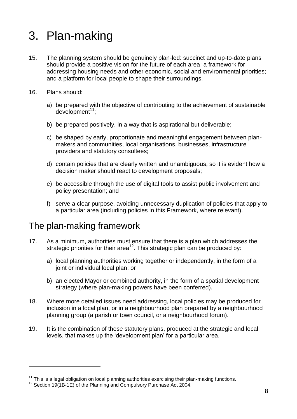# <span id="page-7-0"></span>3. Plan-making

- 15. The planning system should be genuinely plan-led: succinct and up-to-date plans should provide a positive vision for the future of each area; a framework for addressing housing needs and other economic, social and environmental priorities; and a platform for local people to shape their surroundings.
- 16. Plans should:

l

- a) be prepared with the objective of contributing to the achievement of sustainable  $d$ evelopment<sup>11</sup>:
- b) be prepared positively, in a way that is aspirational but deliverable;
- c) be shaped by early, proportionate and meaningful engagement between planmakers and communities, local organisations, businesses, infrastructure providers and statutory consultees;
- d) contain policies that are clearly written and unambiguous, so it is evident how a decision maker should react to development proposals;
- e) be accessible through the use of digital tools to assist public involvement and policy presentation; and
- f) serve a clear purpose, avoiding unnecessary duplication of policies that apply to a particular area (including policies in this Framework, where relevant).

#### The plan-making framework

- 17. As a minimum, authorities must ensure that there is a plan which addresses the strategic priorities for their area<sup>12</sup>. This strategic plan can be produced by:
	- a) local planning authorities working together or independently, in the form of a joint or individual local plan; or
	- b) an elected Mayor or combined authority, in the form of a spatial development strategy (where plan-making powers have been conferred).
- 18. Where more detailed issues need addressing, local policies may be produced for inclusion in a local plan, or in a neighbourhood plan prepared by a neighbourhood planning group (a parish or town council, or a neighbourhood forum).
- 19. It is the combination of these statutory plans, produced at the strategic and local levels, that makes up the 'development plan' for a particular area.

 $11$  This is a legal obligation on local planning authorities exercising their plan-making functions.

 $12$  Section 19(1B-1E) of the Planning and Compulsory Purchase Act 2004.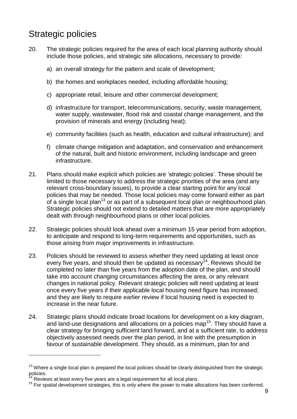## Strategic policies

- 20. The strategic policies required for the area of each local planning authority should include those policies, and strategic site allocations, necessary to provide:
	- a) an overall strategy for the pattern and scale of development;
	- b) the homes and workplaces needed, including affordable housing;
	- c) appropriate retail, leisure and other commercial development;
	- d) infrastructure for transport, telecommunications, security, waste management, water supply, wastewater, flood risk and coastal change management, and the provision of minerals and energy (including heat);
	- e) community facilities (such as health, education and cultural infrastructure); and
	- f) climate change mitigation and adaptation, and conservation and enhancement of the natural, built and historic environment, including landscape and green infrastructure.
- 21. Plans should make explicit which policies are 'strategic policies'. These should be limited to those necessary to address the strategic priorities of the area (and any relevant cross-boundary issues), to provide a clear starting point for any local policies that may be needed. Those local policies may come forward either as part of a single local plan<sup>13</sup> or as part of a subsequent local plan or neighbourhood plan. Strategic policies should not extend to detailed matters that are more appropriately dealt with through neighbourhood plans or other local policies.
- 22. Strategic policies should look ahead over a minimum 15 year period from adoption, to anticipate and respond to long-term requirements and opportunities, such as those arising from major improvements in infrastructure.
- 23. Policies should be reviewed to assess whether they need updating at least once every five years, and should then be updated as necessary<sup>14</sup>. Reviews should be completed no later than five years from the adoption date of the plan, and should take into account changing circumstances affecting the area, or any relevant changes in national policy. Relevant strategic policies will need updating at least once every five years if their applicable local housing need figure has increased; and they are likely to require earlier review if local housing need is expected to increase in the near future.
- 24. Strategic plans should indicate broad locations for development on a key diagram, and land-use designations and allocations on a policies map<sup>15</sup>. They should have a clear strategy for bringing sufficient land forward, and at a sufficient rate, to address objectively assessed needs over the plan period, in line with the presumption in favour of sustainable development. They should, as a minimum, plan for and

 $13$  Where a single local plan is prepared the local policies should be clearly distinguished from the strategic policies.

Reviews at least every five years are a legal requirement for all local plans.

 $15$  For spatial development strategies, this is only where the power to make allocations has been conferred.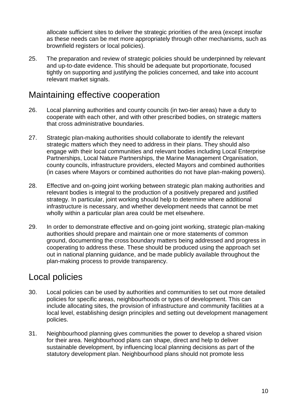allocate sufficient sites to deliver the strategic priorities of the area (except insofar as these needs can be met more appropriately through other mechanisms, such as brownfield registers or local policies).

25. The preparation and review of strategic policies should be underpinned by relevant and up-to-date evidence. This should be adequate but proportionate, focused tightly on supporting and justifying the policies concerned, and take into account relevant market signals.

### Maintaining effective cooperation

- 26. Local planning authorities and county councils (in two-tier areas) have a duty to cooperate with each other, and with other prescribed bodies, on strategic matters that cross administrative boundaries.
- 27. Strategic plan-making authorities should collaborate to identify the relevant strategic matters which they need to address in their plans. They should also engage with their local communities and relevant bodies including Local Enterprise Partnerships, Local Nature Partnerships, the Marine Management Organisation, county councils, infrastructure providers, elected Mayors and combined authorities (in cases where Mayors or combined authorities do not have plan-making powers).
- 28. Effective and on-going joint working between strategic plan making authorities and relevant bodies is integral to the production of a positively prepared and justified strategy. In particular, joint working should help to determine where additional infrastructure is necessary, and whether development needs that cannot be met wholly within a particular plan area could be met elsewhere.
- 29. In order to demonstrate effective and on-going joint working, strategic plan-making authorities should prepare and maintain one or more statements of common ground, documenting the cross boundary matters being addressed and progress in cooperating to address these. These should be produced using the approach set out in national planning guidance, and be made publicly available throughout the plan-making process to provide transparency.

## Local policies

- 30. Local policies can be used by authorities and communities to set out more detailed policies for specific areas, neighbourhoods or types of development. This can include allocating sites, the provision of infrastructure and community facilities at a local level, establishing design principles and setting out development management policies.
- 31. Neighbourhood planning gives communities the power to develop a shared vision for their area. Neighbourhood plans can shape, direct and help to deliver sustainable development, by influencing local planning decisions as part of the statutory development plan. Neighbourhood plans should not promote less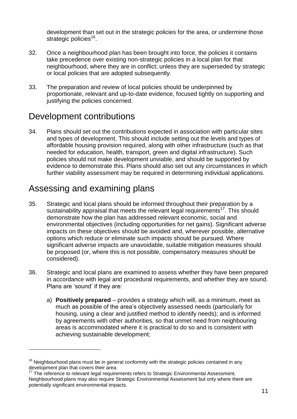development than set out in the strategic policies for the area, or undermine those strategic policies<sup>16</sup>.

- 32. Once a neighbourhood plan has been brought into force, the policies it contains take precedence over existing non-strategic policies in a local plan for that neighbourhood, where they are in conflict; unless they are superseded by strategic or local policies that are adopted subsequently.
- 33. The preparation and review of local policies should be underpinned by proportionate, relevant and up-to-date evidence, focused tightly on supporting and justifying the policies concerned.

### Development contributions

34. Plans should set out the contributions expected in association with particular sites and types of development. This should include setting out the levels and types of affordable housing provision required, along with other infrastructure (such as that needed for education, health, transport, green and digital infrastructure). Such policies should not make development unviable, and should be supported by evidence to demonstrate this. Plans should also set out any circumstances in which further viability assessment may be required in determining individual applications.

## Assessing and examining plans

 $\overline{a}$ 

- 35. Strategic and local plans should be informed throughout their preparation by a sustainability appraisal that meets the relevant legal requirements<sup>17</sup>. This should demonstrate how the plan has addressed relevant economic, social and environmental objectives (including opportunities for net gains). Significant adverse impacts on these objectives should be avoided and, wherever possible, alternative options which reduce or eliminate such impacts should be pursued. Where significant adverse impacts are unavoidable, suitable mitigation measures should be proposed (or, where this is not possible, compensatory measures should be considered).
- 36. Strategic and local plans are examined to assess whether they have been prepared in accordance with legal and procedural requirements, and whether they are sound. Plans are 'sound' if they are:
	- a) **Positively prepared** provides a strategy which will, as a minimum, meet as much as possible of the area's objectively assessed needs (particularly for housing, using a clear and justified method to identify needs); and is informed by agreements with other authorities, so that unmet need from neighbouring areas is accommodated where it is practical to do so and is consistent with achieving sustainable development;

 $16$  Neighbourhood plans must be in general conformity with the strategic policies contained in any development plan that covers their area.

The reference to relevant legal requirements refers to Strategic Environmental Assessment. Neighbourhood plans may also require Strategic Environmental Assessment but only where there are potentially significant environmental impacts.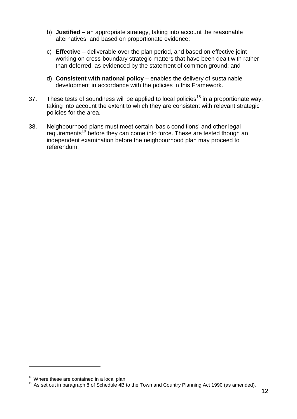- b) **Justified** an appropriate strategy, taking into account the reasonable alternatives, and based on proportionate evidence;
- c) **Effective** deliverable over the plan period, and based on effective joint working on cross-boundary strategic matters that have been dealt with rather than deferred, as evidenced by the statement of common ground; and
- d) **Consistent with national policy** enables the delivery of sustainable development in accordance with the policies in this Framework.
- 37. These tests of soundness will be applied to local policies<sup>18</sup> in a proportionate way, taking into account the extent to which they are consistent with relevant strategic policies for the area.
- 38. Neighbourhood plans must meet certain 'basic conditions' and other legal requirements<sup>19</sup> before they can come into force. These are tested though an independent examination before the neighbourhood plan may proceed to referendum.

 $18$  Where these are contained in a local plan.

 $19$  As set out in paragraph 8 of Schedule 4B to the Town and Country Planning Act 1990 (as amended).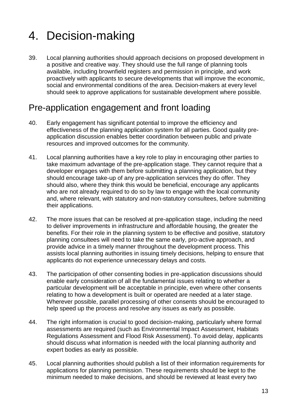# <span id="page-12-0"></span>4. Decision-making

39. Local planning authorities should approach decisions on proposed development in a positive and creative way. They should use the full range of planning tools available, including brownfield registers and permission in principle, and work proactively with applicants to secure developments that will improve the economic, social and environmental conditions of the area. Decision-makers at every level should seek to approve applications for sustainable development where possible.

#### Pre-application engagement and front loading

- 40. Early engagement has significant potential to improve the efficiency and effectiveness of the planning application system for all parties. Good quality preapplication discussion enables better coordination between public and private resources and improved outcomes for the community.
- 41. Local planning authorities have a key role to play in encouraging other parties to take maximum advantage of the pre-application stage. They cannot require that a developer engages with them before submitting a planning application, but they should encourage take-up of any pre-application services they do offer. They should also, where they think this would be beneficial, encourage any applicants who are not already required to do so by law to engage with the local community and, where relevant, with statutory and non-statutory consultees, before submitting their applications.
- 42. The more issues that can be resolved at pre-application stage, including the need to deliver improvements in infrastructure and affordable housing, the greater the benefits. For their role in the planning system to be effective and positive, statutory planning consultees will need to take the same early, pro-active approach, and provide advice in a timely manner throughout the development process. This assists local planning authorities in issuing timely decisions, helping to ensure that applicants do not experience unnecessary delays and costs.
- 43. The participation of other consenting bodies in pre-application discussions should enable early consideration of all the fundamental issues relating to whether a particular development will be acceptable in principle, even where other consents relating to how a development is built or operated are needed at a later stage. Wherever possible, parallel processing of other consents should be encouraged to help speed up the process and resolve any issues as early as possible.
- 44. The right information is crucial to good decision-making, particularly where formal assessments are required (such as Environmental Impact Assessment, Habitats Regulations Assessment and Flood Risk Assessment). To avoid delay, applicants should discuss what information is needed with the local planning authority and expert bodies as early as possible.
- 45. Local planning authorities should publish a list of their information requirements for applications for planning permission. These requirements should be kept to the minimum needed to make decisions, and should be reviewed at least every two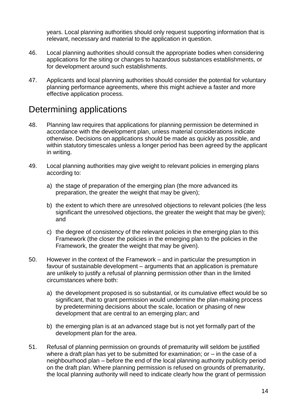years. Local planning authorities should only request supporting information that is relevant, necessary and material to the application in question.

- 46. Local planning authorities should consult the appropriate bodies when considering applications for the siting or changes to hazardous substances establishments, or for development around such establishments.
- 47. Applicants and local planning authorities should consider the potential for voluntary planning performance agreements, where this might achieve a faster and more effective application process.

### Determining applications

- 48. Planning law requires that applications for planning permission be determined in accordance with the development plan, unless material considerations indicate otherwise. Decisions on applications should be made as quickly as possible, and within statutory timescales unless a longer period has been agreed by the applicant in writing.
- 49. Local planning authorities may give weight to relevant policies in emerging plans according to:
	- a) the stage of preparation of the emerging plan (the more advanced its preparation, the greater the weight that may be given);
	- b) the extent to which there are unresolved objections to relevant policies (the less significant the unresolved objections, the greater the weight that may be given); and
	- c) the degree of consistency of the relevant policies in the emerging plan to this Framework (the closer the policies in the emerging plan to the policies in the Framework, the greater the weight that may be given).
- 50. However in the context of the Framework and in particular the presumption in favour of sustainable development – arguments that an application is premature are unlikely to justify a refusal of planning permission other than in the limited circumstances where both:
	- a) the development proposed is so substantial, or its cumulative effect would be so significant, that to grant permission would undermine the plan-making process by predetermining decisions about the scale, location or phasing of new development that are central to an emerging plan; and
	- b) the emerging plan is at an advanced stage but is not yet formally part of the development plan for the area.
- 51. Refusal of planning permission on grounds of prematurity will seldom be justified where a draft plan has yet to be submitted for examination; or  $-$  in the case of a neighbourhood plan – before the end of the local planning authority publicity period on the draft plan. Where planning permission is refused on grounds of prematurity, the local planning authority will need to indicate clearly how the grant of permission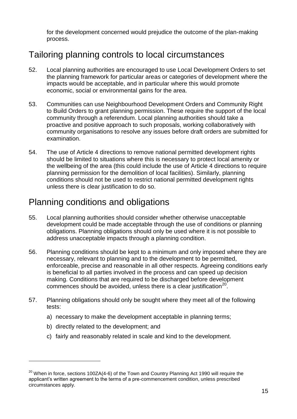for the development concerned would prejudice the outcome of the plan-making process.

## Tailoring planning controls to local circumstances

- 52. Local planning authorities are encouraged to use Local Development Orders to set the planning framework for particular areas or categories of development where the impacts would be acceptable, and in particular where this would promote economic, social or environmental gains for the area.
- 53. Communities can use Neighbourhood Development Orders and Community Right to Build Orders to grant planning permission. These require the support of the local community through a referendum. Local planning authorities should take a proactive and positive approach to such proposals, working collaboratively with community organisations to resolve any issues before draft orders are submitted for examination.
- 54. The use of Article 4 directions to remove national permitted development rights should be limited to situations where this is necessary to protect local amenity or the wellbeing of the area (this could include the use of Article 4 directions to require planning permission for the demolition of local facilities). Similarly, planning conditions should not be used to restrict national permitted development rights unless there is clear justification to do so.

#### Planning conditions and obligations

- 55. Local planning authorities should consider whether otherwise unacceptable development could be made acceptable through the use of conditions or planning obligations. Planning obligations should only be used where it is not possible to address unacceptable impacts through a planning condition.
- 56. Planning conditions should be kept to a minimum and only imposed where they are necessary, relevant to planning and to the development to be permitted, enforceable, precise and reasonable in all other respects. Agreeing conditions early is beneficial to all parties involved in the process and can speed up decision making. Conditions that are required to be discharged before development commences should be avoided, unless there is a clear justification $^{20}$ .
- 57. Planning obligations should only be sought where they meet all of the following tests:
	- a) necessary to make the development acceptable in planning terms;
	- b) directly related to the development; and

l

c) fairly and reasonably related in scale and kind to the development.

 $20$  When in force, sections 100ZA(4-6) of the Town and Country Planning Act 1990 will require the applicant's written agreement to the terms of a pre-commencement condition, unless prescribed circumstances apply.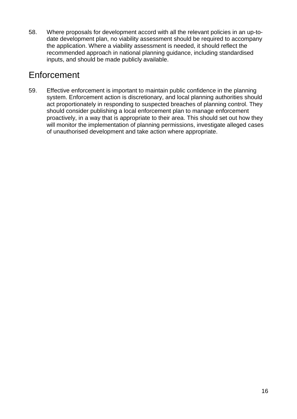58. Where proposals for development accord with all the relevant policies in an up-todate development plan, no viability assessment should be required to accompany the application. Where a viability assessment is needed, it should reflect the recommended approach in national planning guidance, including standardised inputs, and should be made publicly available.

### Enforcement

59. Effective enforcement is important to maintain public confidence in the planning system. Enforcement action is discretionary, and local planning authorities should act proportionately in responding to suspected breaches of planning control. They should consider publishing a local enforcement plan to manage enforcement proactively, in a way that is appropriate to their area. This should set out how they will monitor the implementation of planning permissions, investigate alleged cases of unauthorised development and take action where appropriate.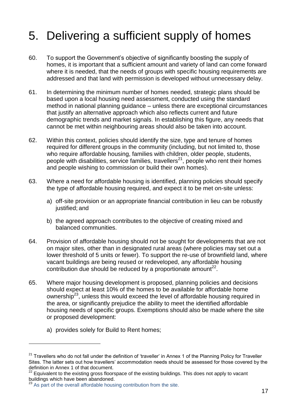# <span id="page-16-0"></span>5. Delivering a sufficient supply of homes

- 60. To support the Government's objective of significantly boosting the supply of homes, it is important that a sufficient amount and variety of land can come forward where it is needed, that the needs of groups with specific housing requirements are addressed and that land with permission is developed without unnecessary delay.
- 61. In determining the minimum number of homes needed, strategic plans should be based upon a local housing need assessment, conducted using the standard method in national planning guidance – unless there are exceptional circumstances that justify an alternative approach which also reflects current and future demographic trends and market signals. In establishing this figure, any needs that cannot be met within neighbouring areas should also be taken into account.
- 62. Within this context, policies should identify the size, type and tenure of homes required for different groups in the community (including, but not limited to, those who require affordable housing, families with children, older people, students, people with disabilities, service families, travellers<sup>21</sup>, people who rent their homes and people wishing to commission or build their own homes).
- 63. Where a need for affordable housing is identified, planning policies should specify the type of affordable housing required, and expect it to be met on-site unless:
	- a) off-site provision or an appropriate financial contribution in lieu can be robustly justified; and
	- b) the agreed approach contributes to the objective of creating mixed and balanced communities.
- 64. Provision of affordable housing should not be sought for developments that are not on major sites, other than in designated rural areas (where policies may set out a lower threshold of 5 units or fewer). To support the re-use of brownfield land, where vacant buildings are being reused or redeveloped, any affordable housing contribution due should be reduced by a proportionate amount<sup>22</sup>.
- 65. Where major housing development is proposed, planning policies and decisions should expect at least 10% of the homes to be available for affordable home ownership<sup>23</sup>, unless this would exceed the level of affordable housing required in the area, or significantly prejudice the ability to meet the identified affordable housing needs of specific groups. Exemptions should also be made where the site or proposed development:
	- a) provides solely for Build to Rent homes;

 $21$  Travellers who do not fall under the definition of 'traveller' in Annex 1 of the Planning Policy for Traveller Sites. The latter sets out how travellers' accommodation needs should be assessed for those covered by the definition in Annex 1 of that document.

 $22$  Equivalent to the existing gross floorspace of the existing buildings. This does not apply to vacant buildings which have been abandoned.

<sup>&</sup>lt;sup>23</sup> As part of the overall affordable housing contribution from the site.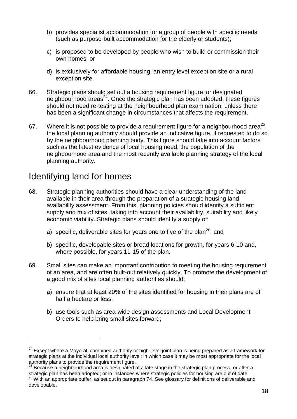- b) provides specialist accommodation for a group of people with specific needs (such as purpose-built accommodation for the elderly or students);
- c) is proposed to be developed by people who wish to build or commission their own homes; or
- d) is exclusively for affordable housing, an entry level exception site or a rural exception site.
- 66. Strategic plans should set out a housing requirement figure for designated neighbourhood areas $^{24}$ . Once the strategic plan has been adopted, these figures should not need re-testing at the neighbourhood plan examination, unless there has been a significant change in circumstances that affects the requirement.
- 67. Where it is not possible to provide a requirement figure for a neighbourhood area<sup>25</sup>, the local planning authority should provide an indicative figure, if requested to do so by the neighbourhood planning body. This figure should take into account factors such as the latest evidence of local housing need, the population of the neighbourhood area and the most recently available planning strategy of the local planning authority.

### Identifying land for homes

- 68. Strategic planning authorities should have a clear understanding of the land available in their area through the preparation of a strategic housing land availability assessment. From this, planning policies should identify a sufficient supply and mix of sites, taking into account their availability, suitability and likely economic viability. Strategic plans should identify a supply of:
	- a) specific, deliverable sites for years one to five of the plan<sup>26</sup>; and
	- b) specific, developable sites or broad locations for growth, for years 6-10 and, where possible, for years 11-15 of the plan.
- 69. Small sites can make an important contribution to meeting the housing requirement of an area, and are often built-out relatively quickly. To promote the development of a good mix of sites local planning authorities should:
	- a) ensure that at least 20% of the sites identified for housing in their plans are of half a hectare or less;
	- b) use tools such as area-wide design assessments and Local Development Orders to help bring small sites forward;

 $24$  Except where a Mayoral, combined authority or high-level joint plan is being prepared as a framework for strategic plans at the individual local authority level; in which case it may be most appropriate for the local authority plans to provide the requirement figure.<br><sup>25</sup> Because a matrix the requirement figure.

Because a neighbourhood area is designated at a late stage in the strategic plan process, or after a strategic plan has been adopted; or in instances where strategic policies for housing are out of date.  $26$  With an appropriate buffer, as set out in paragraph 74. See glossary for definitions of deliverable and developable.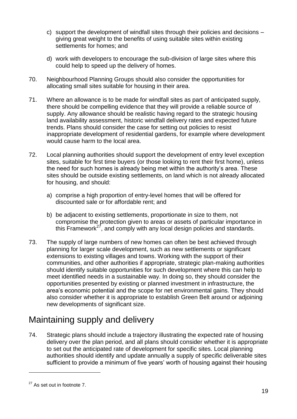- c) support the development of windfall sites through their policies and decisions giving great weight to the benefits of using suitable sites within existing settlements for homes; and
- d) work with developers to encourage the sub-division of large sites where this could help to speed up the delivery of homes.
- 70. Neighbourhood Planning Groups should also consider the opportunities for allocating small sites suitable for housing in their area.
- 71. Where an allowance is to be made for windfall sites as part of anticipated supply, there should be compelling evidence that they will provide a reliable source of supply. Any allowance should be realistic having regard to the strategic housing land availability assessment, historic windfall delivery rates and expected future trends. Plans should consider the case for setting out policies to resist inappropriate development of residential gardens, for example where development would cause harm to the local area.
- 72. Local planning authorities should support the development of entry level exception sites, suitable for first time buyers (or those looking to rent their first home), unless the need for such homes is already being met within the authority's area. These sites should be outside existing settlements, on land which is not already allocated for housing, and should:
	- a) comprise a high proportion of entry-level homes that will be offered for discounted sale or for affordable rent; and
	- b) be adjacent to existing settlements, proportionate in size to them, not compromise the protection given to areas or assets of particular importance in this Framework<sup>27</sup>, and comply with any local design policies and standards.
- 73. The supply of large numbers of new homes can often be best achieved through planning for larger scale development, such as new settlements or significant extensions to existing villages and towns. Working with the support of their communities, and other authorities if appropriate, strategic plan-making authorities should identify suitable opportunities for such development where this can help to meet identified needs in a sustainable way. In doing so, they should consider the opportunities presented by existing or planned investment in infrastructure, the area's economic potential and the scope for net environmental gains. They should also consider whether it is appropriate to establish Green Belt around or adjoining new developments of significant size.

## Maintaining supply and delivery

74. Strategic plans should include a trajectory illustrating the expected rate of housing delivery over the plan period, and all plans should consider whether it is appropriate to set out the anticipated rate of development for specific sites. Local planning authorities should identify and update annually a supply of specific deliverable sites sufficient to provide a minimum of five years' worth of housing against their housing

 $27$  As set out in footnote 7.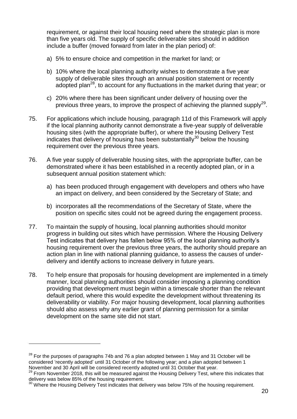requirement, or against their local housing need where the strategic plan is more than five years old. The supply of specific deliverable sites should in addition include a buffer (moved forward from later in the plan period) of:

- a) 5% to ensure choice and competition in the market for land; or
- b) 10% where the local planning authority wishes to demonstrate a five year supply of deliverable sites through an annual position statement or recently adopted plan<sup>28</sup>, to account for any fluctuations in the market during that year; or
- c) 20% where there has been significant under delivery of housing over the previous three years, to improve the prospect of achieving the planned supply<sup>29</sup>.
- 75. For applications which include housing, paragraph 11d of this Framework will apply if the local planning authority cannot demonstrate a five-year supply of deliverable housing sites (with the appropriate buffer), or where the Housing Delivery Test indicates that delivery of housing has been substantially<sup>30</sup> below the housing requirement over the previous three years.
- 76. A five year supply of deliverable housing sites, with the appropriate buffer, can be demonstrated where it has been established in a recently adopted plan, or in a subsequent annual position statement which:
	- a) has been produced through engagement with developers and others who have an impact on delivery, and been considered by the Secretary of State; and
	- b) incorporates all the recommendations of the Secretary of State, where the position on specific sites could not be agreed during the engagement process.
- 77. To maintain the supply of housing, local planning authorities should monitor progress in building out sites which have permission. Where the Housing Delivery Test indicates that delivery has fallen below 95% of the local planning authority's housing requirement over the previous three years, the authority should prepare an action plan in line with national planning guidance, to assess the causes of underdelivery and identify actions to increase delivery in future years.
- 78. To help ensure that proposals for housing development are implemented in a timely manner, local planning authorities should consider imposing a planning condition providing that development must begin within a timescale shorter than the relevant default period, where this would expedite the development without threatening its deliverability or viability. For major housing development, local planning authorities should also assess why any earlier grant of planning permission for a similar development on the same site did not start.

 $^{28}$  For the purposes of paragraphs 74b and 76 a plan adopted between 1 May and 31 October will be considered 'recently adopted' until 31 October of the following year; and a plan adopted between 1 November and 30 April will be considered recently adopted until 31 October that year.

 $^{29}$  From November 2018, this will be measured against the Housing Delivery Test, where this indicates that delivery was below 85% of the housing requirement.

 $30$  Where the Housing Delivery Test indicates that delivery was below 75% of the housing requirement.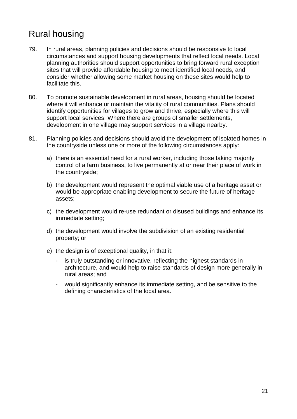## Rural housing

- 79. In rural areas, planning policies and decisions should be responsive to local circumstances and support housing developments that reflect local needs. Local planning authorities should support opportunities to bring forward rural exception sites that will provide affordable housing to meet identified local needs, and consider whether allowing some market housing on these sites would help to facilitate this.
- 80. To promote sustainable development in rural areas, housing should be located where it will enhance or maintain the vitality of rural communities. Plans should identify opportunities for villages to grow and thrive, especially where this will support local services. Where there are groups of smaller settlements, development in one village may support services in a village nearby.
- 81. Planning policies and decisions should avoid the development of isolated homes in the countryside unless one or more of the following circumstances apply:
	- a) there is an essential need for a rural worker, including those taking majority control of a farm business, to live permanently at or near their place of work in the countryside;
	- b) the development would represent the optimal viable use of a heritage asset or would be appropriate enabling development to secure the future of heritage assets;
	- c) the development would re-use redundant or disused buildings and enhance its immediate setting;
	- d) the development would involve the subdivision of an existing residential property; or
	- e) the design is of exceptional quality, in that it:
		- is truly outstanding or innovative, reflecting the highest standards in architecture, and would help to raise standards of design more generally in rural areas; and
		- would significantly enhance its immediate setting, and be sensitive to the defining characteristics of the local area.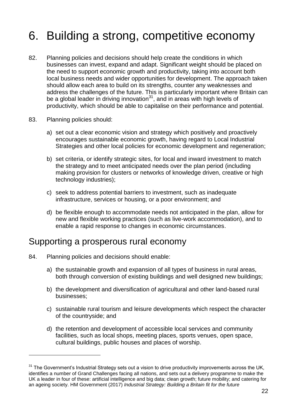# <span id="page-21-0"></span>6. Building a strong, competitive economy

- 82. Planning policies and decisions should help create the conditions in which businesses can invest, expand and adapt. Significant weight should be placed on the need to support economic growth and productivity, taking into account both local business needs and wider opportunities for development. The approach taken should allow each area to build on its strengths, counter any weaknesses and address the challenges of the future. This is particularly important where Britain can be a global leader in driving innovation $31$ , and in areas with high levels of productivity, which should be able to capitalise on their performance and potential.
- 83. Planning policies should:

l

- a) set out a clear economic vision and strategy which positively and proactively encourages sustainable economic growth, having regard to Local Industrial Strategies and other local policies for economic development and regeneration:
- b) set criteria, or identify strategic sites, for local and inward investment to match the strategy and to meet anticipated needs over the plan period (including making provision for clusters or networks of knowledge driven, creative or high technology industries);
- c) seek to address potential barriers to investment, such as inadequate infrastructure, services or housing, or a poor environment; and
- d) be flexible enough to accommodate needs not anticipated in the plan, allow for new and flexible working practices (such as live-work accommodation), and to enable a rapid response to changes in economic circumstances.

#### Supporting a prosperous rural economy

- 84. Planning policies and decisions should enable:
	- a) the sustainable growth and expansion of all types of business in rural areas, both through conversion of existing buildings and well designed new buildings;
	- b) the development and diversification of agricultural and other land-based rural businesses;
	- c) sustainable rural tourism and leisure developments which respect the character of the countryside; and
	- d) the retention and development of accessible local services and community facilities, such as local shops, meeting places, sports venues, open space, cultural buildings, public houses and places of worship.

 $31$  The Government's Industrial Strategy sets out a vision to drive productivity improvements across the UK, identifies a number of Grand Challenges facing all nations, and sets out a delivery programme to make the UK a leader in four of these: artificial intelligence and big data; clean growth; future mobility; and catering for an ageing society. HM Government (2017) *Industrial Strategy: Building a Britain fit for the future*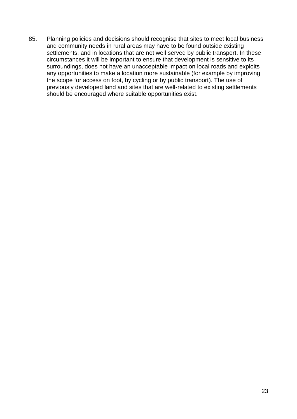85. Planning policies and decisions should recognise that sites to meet local business and community needs in rural areas may have to be found outside existing settlements, and in locations that are not well served by public transport. In these circumstances it will be important to ensure that development is sensitive to its surroundings, does not have an unacceptable impact on local roads and exploits any opportunities to make a location more sustainable (for example by improving the scope for access on foot, by cycling or by public transport). The use of previously developed land and sites that are well-related to existing settlements should be encouraged where suitable opportunities exist.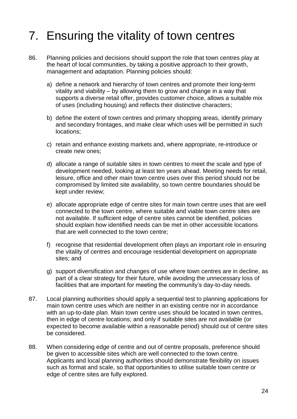# <span id="page-23-0"></span>7. Ensuring the vitality of town centres

- 86. Planning policies and decisions should support the role that town centres play at the heart of local communities, by taking a positive approach to their growth, management and adaptation. Planning policies should:
	- a) define a network and hierarchy of town centres and promote their long-term vitality and viability – by allowing them to grow and change in a way that supports a diverse retail offer, provides customer choice, allows a suitable mix of uses (including housing) and reflects their distinctive characters;
	- b) define the extent of town centres and primary shopping areas, identify primary and secondary frontages, and make clear which uses will be permitted in such locations;
	- c) retain and enhance existing markets and, where appropriate, re-introduce or create new ones;
	- d) allocate a range of suitable sites in town centres to meet the scale and type of development needed, looking at least ten years ahead. Meeting needs for retail, leisure, office and other main town centre uses over this period should not be compromised by limited site availability, so town centre boundaries should be kept under review;
	- e) allocate appropriate edge of centre sites for main town centre uses that are well connected to the town centre, where suitable and viable town centre sites are not available. If sufficient edge of centre sites cannot be identified, policies should explain how identified needs can be met in other accessible locations that are well connected to the town centre;
	- f) recognise that residential development often plays an important role in ensuring the vitality of centres and encourage residential development on appropriate sites; and
	- g) support diversification and changes of use where town centres are in decline, as part of a clear strategy for their future, while avoiding the unnecessary loss of facilities that are important for meeting the community's day-to-day needs.
- 87. Local planning authorities should apply a sequential test to planning applications for main town centre uses which are neither in an existing centre nor in accordance with an up-to-date plan. Main town centre uses should be located in town centres, then in edge of centre locations; and only if suitable sites are not available (or expected to become available within a reasonable period) should out of centre sites be considered.
- 88. When considering edge of centre and out of centre proposals, preference should be given to accessible sites which are well connected to the town centre. Applicants and local planning authorities should demonstrate flexibility on issues such as format and scale, so that opportunities to utilise suitable town centre or edge of centre sites are fully explored.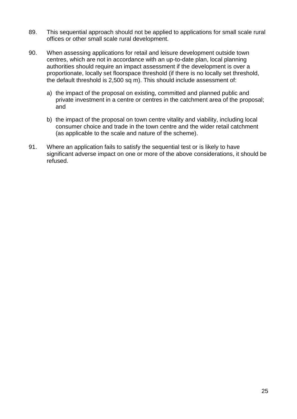- 89. This sequential approach should not be applied to applications for small scale rural offices or other small scale rural development.
- 90. When assessing applications for retail and leisure development outside town centres, which are not in accordance with an up-to-date plan, local planning authorities should require an impact assessment if the development is over a proportionate, locally set floorspace threshold (if there is no locally set threshold, the default threshold is 2,500 sq m). This should include assessment of:
	- a) the impact of the proposal on existing, committed and planned public and private investment in a centre or centres in the catchment area of the proposal; and
	- b) the impact of the proposal on town centre vitality and viability, including local consumer choice and trade in the town centre and the wider retail catchment (as applicable to the scale and nature of the scheme).
- 91. Where an application fails to satisfy the sequential test or is likely to have significant adverse impact on one or more of the above considerations, it should be refused.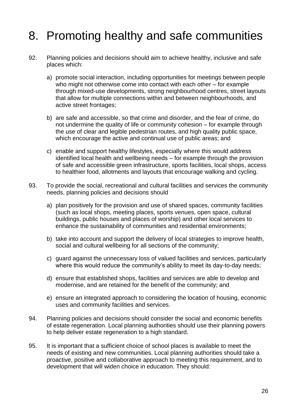# <span id="page-25-0"></span>8. Promoting healthy and safe communities

- 92. Planning policies and decisions should aim to achieve healthy, inclusive and safe places which:
	- a) promote social interaction, including opportunities for meetings between people who might not otherwise come into contact with each other – for example through mixed-use developments, strong neighbourhood centres, street layouts that allow for multiple connections within and between neighbourhoods, and active street frontages;
	- b) are safe and accessible, so that crime and disorder, and the fear of crime, do not undermine the quality of life or community cohesion – for example through the use of clear and legible pedestrian routes, and high quality public space, which encourage the active and continual use of public areas; and
	- c) enable and support healthy lifestyles, especially where this would address identified local health and wellbeing needs – for example through the provision of safe and accessible green infrastructure, sports facilities, local shops, access to healthier food, allotments and layouts that encourage walking and cycling.
- 93. To provide the social, recreational and cultural facilities and services the community needs, planning policies and decisions should
	- a) plan positively for the provision and use of shared spaces, community facilities (such as local shops, meeting places, sports venues, open space, cultural buildings, public houses and places of worship) and other local services to enhance the sustainability of communities and residential environments;
	- b) take into account and support the delivery of local strategies to improve health, social and cultural wellbeing for all sections of the community;
	- c) guard against the unnecessary loss of valued facilities and services, particularly where this would reduce the community's ability to meet its day-to-day needs;
	- d) ensure that established shops, facilities and services are able to develop and modernise, and are retained for the benefit of the community; and
	- e) ensure an integrated approach to considering the location of housing, economic uses and community facilities and services.
- 94. Planning policies and decisions should consider the social and economic benefits of estate regeneration. Local planning authorities should use their planning powers to help deliver estate regeneration to a high standard.
- 95. It is important that a sufficient choice of school places is available to meet the needs of existing and new communities. Local planning authorities should take a proactive, positive and collaborative approach to meeting this requirement, and to development that will widen choice in education. They should: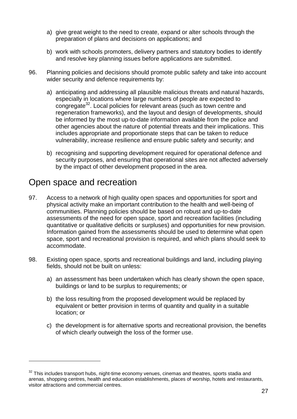- a) give great weight to the need to create, expand or alter schools through the preparation of plans and decisions on applications; and
- b) work with schools promoters, delivery partners and statutory bodies to identify and resolve key planning issues before applications are submitted.
- 96. Planning policies and decisions should promote public safety and take into account wider security and defence requirements by:
	- a) anticipating and addressing all plausible malicious threats and natural hazards, especially in locations where large numbers of people are expected to congregate<sup>32</sup>. Local policies for relevant areas (such as town centre and regeneration frameworks), and the layout and design of developments, should be informed by the most up-to-date information available from the police and other agencies about the nature of potential threats and their implications. This includes appropriate and proportionate steps that can be taken to reduce vulnerability, increase resilience and ensure public safety and security; and
	- b) recognising and supporting development required for operational defence and security purposes, and ensuring that operational sites are not affected adversely by the impact of other development proposed in the area.

#### Open space and recreation

- 97. Access to a network of high quality open spaces and opportunities for sport and physical activity make an important contribution to the health and well-being of communities. Planning policies should be based on robust and up-to-date assessments of the need for open space, sport and recreation facilities (including quantitative or qualitative deficits or surpluses) and opportunities for new provision. Information gained from the assessments should be used to determine what open space, sport and recreational provision is required, and which plans should seek to accommodate.
- 98. Existing open space, sports and recreational buildings and land, including playing fields, should not be built on unless:
	- a) an assessment has been undertaken which has clearly shown the open space, buildings or land to be surplus to requirements; or
	- b) the loss resulting from the proposed development would be replaced by equivalent or better provision in terms of quantity and quality in a suitable location; or
	- c) the development is for alternative sports and recreational provision, the benefits of which clearly outweigh the loss of the former use.

 $32$  This includes transport hubs, night-time economy venues, cinemas and theatres, sports stadia and arenas, shopping centres, health and education establishments, places of worship, hotels and restaurants, visitor attractions and commercial centres.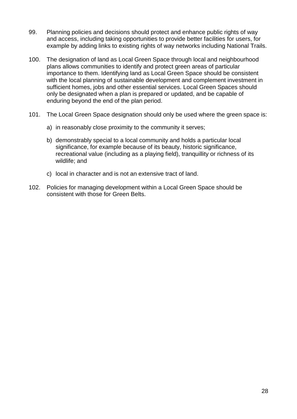- 99. Planning policies and decisions should protect and enhance public rights of way and access, including taking opportunities to provide better facilities for users, for example by adding links to existing rights of way networks including National Trails.
- 100. The designation of land as Local Green Space through local and neighbourhood plans allows communities to identify and protect green areas of particular importance to them. Identifying land as Local Green Space should be consistent with the local planning of sustainable development and complement investment in sufficient homes, jobs and other essential services. Local Green Spaces should only be designated when a plan is prepared or updated, and be capable of enduring beyond the end of the plan period.
- 101. The Local Green Space designation should only be used where the green space is:
	- a) in reasonably close proximity to the community it serves;
	- b) demonstrably special to a local community and holds a particular local significance, for example because of its beauty, historic significance, recreational value (including as a playing field), tranquillity or richness of its wildlife; and
	- c) local in character and is not an extensive tract of land.
- 102. Policies for managing development within a Local Green Space should be consistent with those for Green Belts.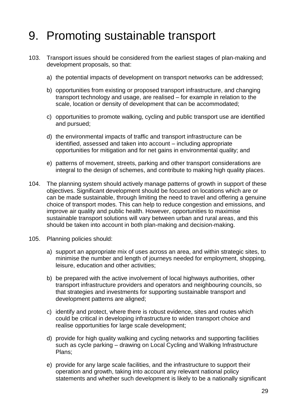# <span id="page-28-0"></span>9. Promoting sustainable transport

- 103. Transport issues should be considered from the earliest stages of plan-making and development proposals, so that:
	- a) the potential impacts of development on transport networks can be addressed;
	- b) opportunities from existing or proposed transport infrastructure, and changing transport technology and usage, are realised – for example in relation to the scale, location or density of development that can be accommodated;
	- c) opportunities to promote walking, cycling and public transport use are identified and pursued;
	- d) the environmental impacts of traffic and transport infrastructure can be identified, assessed and taken into account – including appropriate opportunities for mitigation and for net gains in environmental quality; and
	- e) patterns of movement, streets, parking and other transport considerations are integral to the design of schemes, and contribute to making high quality places.
- 104. The planning system should actively manage patterns of growth in support of these objectives. Significant development should be focused on locations which are or can be made sustainable, through limiting the need to travel and offering a genuine choice of transport modes. This can help to reduce congestion and emissions, and improve air quality and public health. However, opportunities to maximise sustainable transport solutions will vary between urban and rural areas, and this should be taken into account in both plan-making and decision-making.
- 105. Planning policies should:
	- a) support an appropriate mix of uses across an area, and within strategic sites, to minimise the number and length of journeys needed for employment, shopping, leisure, education and other activities;
	- b) be prepared with the active involvement of local highways authorities, other transport infrastructure providers and operators and neighbouring councils, so that strategies and investments for supporting sustainable transport and development patterns are aligned;
	- c) identify and protect, where there is robust evidence, sites and routes which could be critical in developing infrastructure to widen transport choice and realise opportunities for large scale development;
	- d) provide for high quality walking and cycling networks and supporting facilities such as cycle parking – drawing on Local Cycling and Walking Infrastructure Plans;
	- e) provide for any large scale facilities, and the infrastructure to support their operation and growth, taking into account any relevant national policy statements and whether such development is likely to be a nationally significant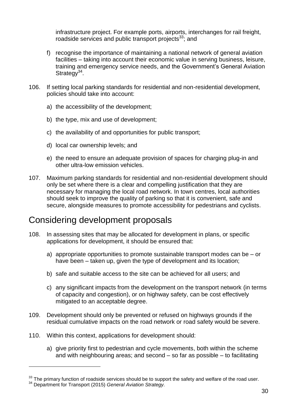infrastructure project. For example ports, airports, interchanges for rail freight, roadside services and public transport projects $33$ ; and

- f) recognise the importance of maintaining a national network of general aviation facilities – taking into account their economic value in serving business, leisure, training and emergency service needs, and the Government's General Aviation Strategy<sup>34</sup>.
- 106. If setting local parking standards for residential and non-residential development, policies should take into account:
	- a) the accessibility of the development;
	- b) the type, mix and use of development;
	- c) the availability of and opportunities for public transport;
	- d) local car ownership levels; and
	- e) the need to ensure an adequate provision of spaces for charging plug-in and other ultra-low emission vehicles.
- 107. Maximum parking standards for residential and non-residential development should only be set where there is a clear and compelling justification that they are necessary for managing the local road network. In town centres, local authorities should seek to improve the quality of parking so that it is convenient, safe and secure, alongside measures to promote accessibility for pedestrians and cyclists.

## Considering development proposals

- 108. In assessing sites that may be allocated for development in plans, or specific applications for development, it should be ensured that:
	- a) appropriate opportunities to promote sustainable transport modes can be or have been – taken up, given the type of development and its location;
	- b) safe and suitable access to the site can be achieved for all users; and
	- c) any significant impacts from the development on the transport network (in terms of capacity and congestion), or on highway safety, can be cost effectively mitigated to an acceptable degree.
- 109. Development should only be prevented or refused on highways grounds if the residual cumulative impacts on the road network or road safety would be severe.
- 110. Within this context, applications for development should:

l

a) give priority first to pedestrian and cycle movements, both within the scheme and with neighbouring areas; and second – so far as possible – to facilitating

 $33$  The primary function of roadside services should be to support the safety and welfare of the road user. <sup>34</sup> Department for Transport (2015) *General Aviation Strategy.*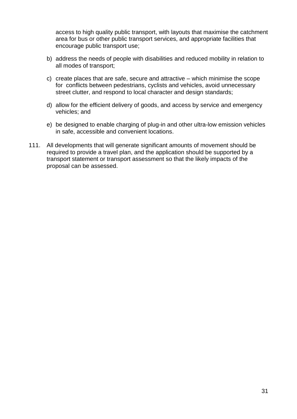access to high quality public transport, with layouts that maximise the catchment area for bus or other public transport services, and appropriate facilities that encourage public transport use;

- b) address the needs of people with disabilities and reduced mobility in relation to all modes of transport;
- c) create places that are safe, secure and attractive which minimise the scope for conflicts between pedestrians, cyclists and vehicles, avoid unnecessary street clutter, and respond to local character and design standards;
- d) allow for the efficient delivery of goods, and access by service and emergency vehicles; and
- e) be designed to enable charging of plug-in and other ultra-low emission vehicles in safe, accessible and convenient locations.
- 111. All developments that will generate significant amounts of movement should be required to provide a travel plan, and the application should be supported by a transport statement or transport assessment so that the likely impacts of the proposal can be assessed.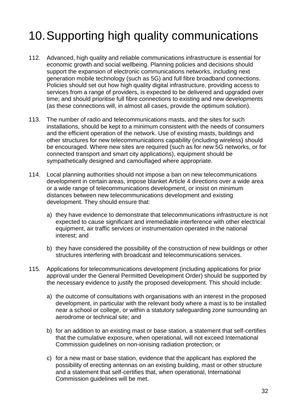# <span id="page-31-0"></span>10.Supporting high quality communications

- 112. Advanced, high quality and reliable communications infrastructure is essential for economic growth and social wellbeing. Planning policies and decisions should support the expansion of electronic communications networks, including next generation mobile technology (such as 5G) and full fibre broadband connections. Policies should set out how high quality digital infrastructure, providing access to services from a range of providers, is expected to be delivered and upgraded over time; and should prioritise full fibre connections to existing and new developments (as these connections will, in almost all cases, provide the optimum solution).
- 113. The number of radio and telecommunications masts, and the sites for such installations, should be kept to a minimum consistent with the needs of consumers and the efficient operation of the network. Use of existing masts, buildings and other structures for new telecommunications capability (including wireless) should be encouraged. Where new sites are required (such as for new 5G networks, or for connected transport and smart city applications), equipment should be sympathetically designed and camouflaged where appropriate.
- 114. Local planning authorities should not impose a ban on new telecommunications development in certain areas, impose blanket Article 4 directions over a wide area or a wide range of telecommunications development, or insist on minimum distances between new telecommunications development and existing development. They should ensure that:
	- a) they have evidence to demonstrate that telecommunications infrastructure is not expected to cause significant and irremediable interference with other electrical equipment, air traffic services or instrumentation operated in the national interest; and
	- b) they have considered the possibility of the construction of new buildings or other structures interfering with broadcast and telecommunications services.
- 115. Applications for telecommunications development (including applications for prior approval under the General Permitted Development Order) should be supported by the necessary evidence to justify the proposed development. This should include:
	- a) the outcome of consultations with organisations with an interest in the proposed development, in particular with the relevant body where a mast is to be installed near a school or college, or within a statutory safeguarding zone surrounding an aerodrome or technical site; and
	- b) for an addition to an existing mast or base station, a statement that self-certifies that the cumulative exposure, when operational, will not exceed International Commission guidelines on non-ionising radiation protection; or
	- c) for a new mast or base station, evidence that the applicant has explored the possibility of erecting antennas on an existing building, mast or other structure and a statement that self-certifies that, when operational, International Commission guidelines will be met.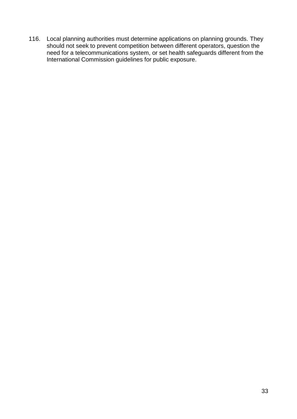116. Local planning authorities must determine applications on planning grounds. They should not seek to prevent competition between different operators, question the need for a telecommunications system, or set health safeguards different from the International Commission guidelines for public exposure.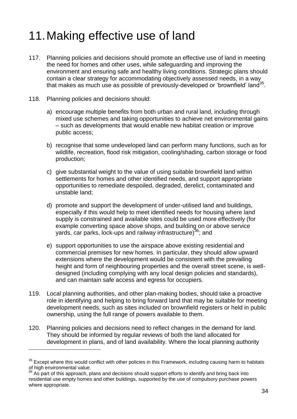# <span id="page-33-0"></span>11.Making effective use of land

- 117. Planning policies and decisions should promote an effective use of land in meeting the need for homes and other uses, while safeguarding and improving the environment and ensuring safe and healthy living conditions. Strategic plans should contain a clear strategy for accommodating objectively assessed needs, in a way that makes as much use as possible of previously-developed or 'brownfield' land<sup>35</sup>.
- 118. Planning policies and decisions should:

 $\overline{a}$ 

- a) encourage multiple benefits from both urban and rural land, including through mixed use schemes and taking opportunities to achieve net environmental gains – such as developments that would enable new habitat creation or improve public access;
- b) recognise that some undeveloped land can perform many functions, such as for wildlife, recreation, flood risk mitigation, cooling/shading, carbon storage or food production;
- c) give substantial weight to the value of using suitable brownfield land within settlements for homes and other identified needs, and support appropriate opportunities to remediate despoiled, degraded, derelict, contaminated and unstable land;
- d) promote and support the development of under-utilised land and buildings, especially if this would help to meet identified needs for housing where land supply is constrained and available sites could be used more effectively (for example converting space above shops, and building on or above service vards, car parks, lock-ups and railway infrastructure)<sup>36</sup>; and
- e) support opportunities to use the airspace above existing residential and commercial premises for new homes. In particular, they should allow upward extensions where the development would be consistent with the prevailing height and form of neighbouring properties and the overall street scene, is welldesigned (including complying with any local design policies and standards), and can maintain safe access and egress for occupiers.
- 119. Local planning authorities, and other plan-making bodies, should take a proactive role in identifying and helping to bring forward land that may be suitable for meeting development needs, such as sites included on brownfield registers or held in public ownership, using the full range of powers available to them.
- 120. Planning policies and decisions need to reflect changes in the demand for land. They should be informed by regular reviews of both the land allocated for development in plans, and of land availability. Where the local planning authority

 $35$  Except where this would conflict with other policies in this Framework, including causing harm to habitats of high environmental value.

 $36$  As part of this approach, plans and decisions should support efforts to identify and bring back into residential use empty homes and other buildings, supported by the use of compulsory purchase powers where appropriate.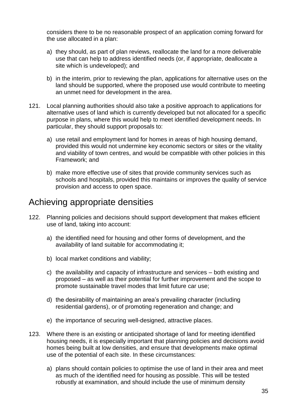considers there to be no reasonable prospect of an application coming forward for the use allocated in a plan:

- a) they should, as part of plan reviews, reallocate the land for a more deliverable use that can help to address identified needs (or, if appropriate, deallocate a site which is undeveloped); and
- b) in the interim, prior to reviewing the plan, applications for alternative uses on the land should be supported, where the proposed use would contribute to meeting an unmet need for development in the area.
- 121. Local planning authorities should also take a positive approach to applications for alternative uses of land which is currently developed but not allocated for a specific purpose in plans, where this would help to meet identified development needs. In particular, they should support proposals to:
	- a) use retail and employment land for homes in areas of high housing demand, provided this would not undermine key economic sectors or sites or the vitality and viability of town centres, and would be compatible with other policies in this Framework; and
	- b) make more effective use of sites that provide community services such as schools and hospitals, provided this maintains or improves the quality of service provision and access to open space.

#### Achieving appropriate densities

- 122. Planning policies and decisions should support development that makes efficient use of land, taking into account:
	- a) the identified need for housing and other forms of development, and the availability of land suitable for accommodating it;
	- b) local market conditions and viability;
	- c) the availability and capacity of infrastructure and services both existing and proposed – as well as their potential for further improvement and the scope to promote sustainable travel modes that limit future car use;
	- d) the desirability of maintaining an area's prevailing character (including residential gardens), or of promoting regeneration and change; and
	- e) the importance of securing well-designed, attractive places.
- 123. Where there is an existing or anticipated shortage of land for meeting identified housing needs, it is especially important that planning policies and decisions avoid homes being built at low densities, and ensure that developments make optimal use of the potential of each site. In these circumstances:
	- a) plans should contain policies to optimise the use of land in their area and meet as much of the identified need for housing as possible. This will be tested robustly at examination, and should include the use of minimum density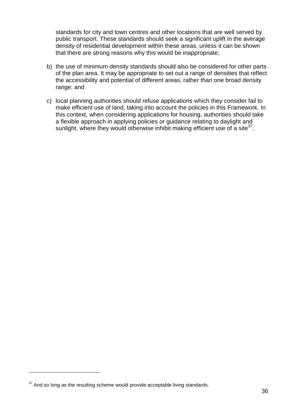standards for city and town centres and other locations that are well served by public transport. These standards should seek a significant uplift in the average density of residential development within these areas, unless it can be shown that there are strong reasons why this would be inappropriate;

- b) the use of minimum density standards should also be considered for other parts of the plan area. It may be appropriate to set out a range of densities that reflect the accessibility and potential of different areas, rather than one broad density range; and
- c) local planning authorities should refuse applications which they consider fail to make efficient use of land, taking into account the policies in this Framework. In this context, when considering applications for housing, authorities should take a flexible approach in applying policies or guidance relating to daylight and sunlight, where they would otherwise inhibit making efficient use of a site<sup>37</sup>.

 $37$  And so long as the resulting scheme would provide acceptable living standards.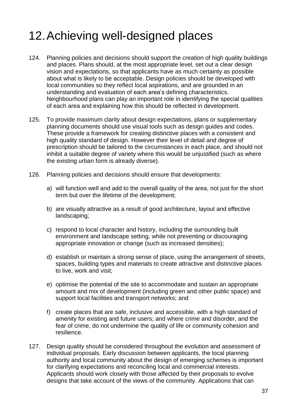# <span id="page-36-0"></span>12.Achieving well-designed places

- 124. Planning policies and decisions should support the creation of high quality buildings and places. Plans should, at the most appropriate level, set out a clear design vision and expectations, so that applicants have as much certainty as possible about what is likely to be acceptable. Design policies should be developed with local communities so they reflect local aspirations, and are grounded in an understanding and evaluation of each area's defining characteristics. Neighbourhood plans can play an important role in identifying the special qualities of each area and explaining how this should be reflected in development.
- 125. To provide maximum clarity about design expectations, plans or supplementary planning documents should use visual tools such as design guides and codes. These provide a framework for creating distinctive places with a consistent and high quality standard of design. However their level of detail and degree of prescription should be tailored to the circumstances in each place, and should not inhibit a suitable degree of variety where this would be unjustified (such as where the existing urban form is already diverse).
- 126. Planning policies and decisions should ensure that developments:
	- a) will function well and add to the overall quality of the area, not just for the short term but over the lifetime of the development;
	- b) are visually attractive as a result of good architecture, layout and effective landscaping;
	- c) respond to local character and history, including the surrounding built environment and landscape setting, while not preventing or discouraging appropriate innovation or change (such as increased densities);
	- d) establish or maintain a strong sense of place, using the arrangement of streets, spaces, building types and materials to create attractive and distinctive places to live, work and visit;
	- e) optimise the potential of the site to accommodate and sustain an appropriate amount and mix of development (including green and other public space) and support local facilities and transport networks; and
	- f) create places that are safe, inclusive and accessible, with a high standard of amenity for existing and future users; and where crime and disorder, and the fear of crime, do not undermine the quality of life or community cohesion and resilience.
- 127. Design quality should be considered throughout the evolution and assessment of individual proposals. Early discussion between applicants, the local planning authority and local community about the design of emerging schemes is important for clarifying expectations and reconciling local and commercial interests. Applicants should work closely with those affected by their proposals to evolve designs that take account of the views of the community. Applications that can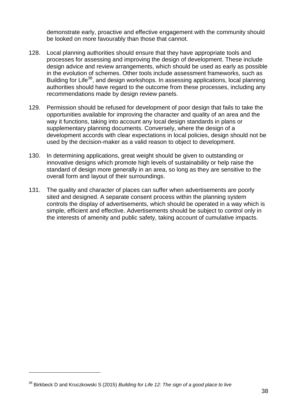demonstrate early, proactive and effective engagement with the community should be looked on more favourably than those that cannot.

- 128. Local planning authorities should ensure that they have appropriate tools and processes for assessing and improving the design of development. These include design advice and review arrangements, which should be used as early as possible in the evolution of schemes. Other tools include assessment frameworks, such as Building for Life<sup>38</sup>, and design workshops. In assessing applications, local planning authorities should have regard to the outcome from these processes, including any recommendations made by design review panels.
- 129. Permission should be refused for development of poor design that fails to take the opportunities available for improving the character and quality of an area and the way it functions, taking into account any local design standards in plans or supplementary planning documents. Conversely, where the design of a development accords with clear expectations in local policies, design should not be used by the decision-maker as a valid reason to object to development.
- 130. In determining applications, great weight should be given to outstanding or innovative designs which promote high levels of sustainability or help raise the standard of design more generally in an area, so long as they are sensitive to the overall form and layout of their surroundings.
- 131. The quality and character of places can suffer when advertisements are poorly sited and designed. A separate consent process within the planning system controls the display of advertisements, which should be operated in a way which is simple, efficient and effective. Advertisements should be subject to control only in the interests of amenity and public safety, taking account of cumulative impacts.

<sup>38</sup> Birkbeck D and Kruczkowski S (2015) *Building for Life 12: The sign of a good place to live*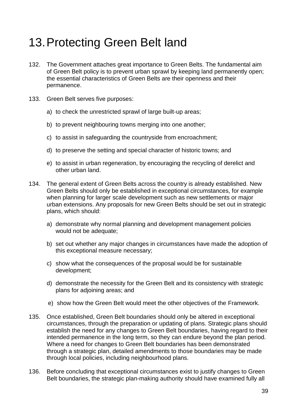# <span id="page-38-0"></span>13.Protecting Green Belt land

- 132. The Government attaches great importance to Green Belts. The fundamental aim of Green Belt policy is to prevent urban sprawl by keeping land permanently open; the essential characteristics of Green Belts are their openness and their permanence.
- 133. Green Belt serves five purposes:
	- a) to check the unrestricted sprawl of large built-up areas;
	- b) to prevent neighbouring towns merging into one another;
	- c) to assist in safeguarding the countryside from encroachment;
	- d) to preserve the setting and special character of historic towns; and
	- e) to assist in urban regeneration, by encouraging the recycling of derelict and other urban land.
- 134. The general extent of Green Belts across the country is already established. New Green Belts should only be established in exceptional circumstances, for example when planning for larger scale development such as new settlements or major urban extensions. Any proposals for new Green Belts should be set out in strategic plans, which should:
	- a) demonstrate why normal planning and development management policies would not be adequate;
	- b) set out whether any major changes in circumstances have made the adoption of this exceptional measure necessary;
	- c) show what the consequences of the proposal would be for sustainable development;
	- d) demonstrate the necessity for the Green Belt and its consistency with strategic plans for adjoining areas; and
	- e) show how the Green Belt would meet the other objectives of the Framework.
- 135. Once established, Green Belt boundaries should only be altered in exceptional circumstances, through the preparation or updating of plans. Strategic plans should establish the need for any changes to Green Belt boundaries, having regard to their intended permanence in the long term, so they can endure beyond the plan period. Where a need for changes to Green Belt boundaries has been demonstrated through a strategic plan, detailed amendments to those boundaries may be made through local policies, including neighbourhood plans.
- 136. Before concluding that exceptional circumstances exist to justify changes to Green Belt boundaries, the strategic plan-making authority should have examined fully all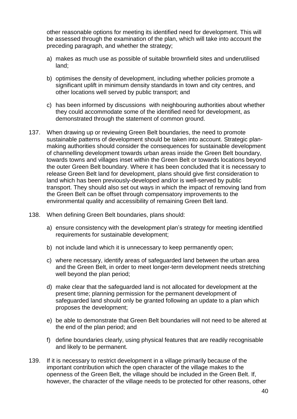other reasonable options for meeting its identified need for development. This will be assessed through the examination of the plan, which will take into account the preceding paragraph, and whether the strategy;

- a) makes as much use as possible of suitable brownfield sites and underutilised land;
- b) optimises the density of development, including whether policies promote a significant uplift in minimum density standards in town and city centres, and other locations well served by public transport; and
- c) has been informed by discussions with neighbouring authorities about whether they could accommodate some of the identified need for development, as demonstrated through the statement of common ground.
- 137. When drawing up or reviewing Green Belt boundaries, the need to promote sustainable patterns of development should be taken into account. Strategic planmaking authorities should consider the consequences for sustainable development of channelling development towards urban areas inside the Green Belt boundary, towards towns and villages inset within the Green Belt or towards locations beyond the outer Green Belt boundary. Where it has been concluded that it is necessary to release Green Belt land for development, plans should give first consideration to land which has been previously-developed and/or is well-served by public transport. They should also set out ways in which the impact of removing land from the Green Belt can be offset through compensatory improvements to the environmental quality and accessibility of remaining Green Belt land.
- 138. When defining Green Belt boundaries, plans should:
	- a) ensure consistency with the development plan's strategy for meeting identified requirements for sustainable development;
	- b) not include land which it is unnecessary to keep permanently open;
	- c) where necessary, identify areas of safeguarded land between the urban area and the Green Belt, in order to meet longer-term development needs stretching well beyond the plan period;
	- d) make clear that the safeguarded land is not allocated for development at the present time; planning permission for the permanent development of safeguarded land should only be granted following an update to a plan which proposes the development;
	- e) be able to demonstrate that Green Belt boundaries will not need to be altered at the end of the plan period; and
	- f) define boundaries clearly, using physical features that are readily recognisable and likely to be permanent.
- 139. If it is necessary to restrict development in a village primarily because of the important contribution which the open character of the village makes to the openness of the Green Belt, the village should be included in the Green Belt. If, however, the character of the village needs to be protected for other reasons, other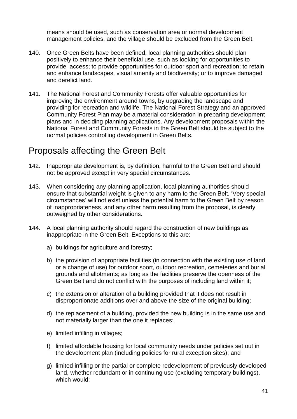means should be used, such as conservation area or normal development management policies, and the village should be excluded from the Green Belt.

- 140. Once Green Belts have been defined, local planning authorities should plan positively to enhance their beneficial use, such as looking for opportunities to provide access; to provide opportunities for outdoor sport and recreation; to retain and enhance landscapes, visual amenity and biodiversity; or to improve damaged and derelict land.
- 141. The National Forest and Community Forests offer valuable opportunities for improving the environment around towns, by upgrading the landscape and providing for recreation and wildlife. The National Forest Strategy and an approved Community Forest Plan may be a material consideration in preparing development plans and in deciding planning applications. Any development proposals within the National Forest and Community Forests in the Green Belt should be subject to the normal policies controlling development in Green Belts.

### Proposals affecting the Green Belt

- 142. Inappropriate development is, by definition, harmful to the Green Belt and should not be approved except in very special circumstances.
- 143. When considering any planning application, local planning authorities should ensure that substantial weight is given to any harm to the Green Belt. 'Very special circumstances' will not exist unless the potential harm to the Green Belt by reason of inappropriateness, and any other harm resulting from the proposal, is clearly outweighed by other considerations.
- 144. A local planning authority should regard the construction of new buildings as inappropriate in the Green Belt. Exceptions to this are:
	- a) buildings for agriculture and forestry;
	- b) the provision of appropriate facilities (in connection with the existing use of land or a change of use) for outdoor sport, outdoor recreation, cemeteries and burial grounds and allotments; as long as the facilities preserve the openness of the Green Belt and do not conflict with the purposes of including land within it;
	- c) the extension or alteration of a building provided that it does not result in disproportionate additions over and above the size of the original building;
	- d) the replacement of a building, provided the new building is in the same use and not materially larger than the one it replaces;
	- e) limited infilling in villages;
	- f) limited affordable housing for local community needs under policies set out in the development plan (including policies for rural exception sites); and
	- g) limited infilling or the partial or complete redevelopment of previously developed land, whether redundant or in continuing use (excluding temporary buildings), which would: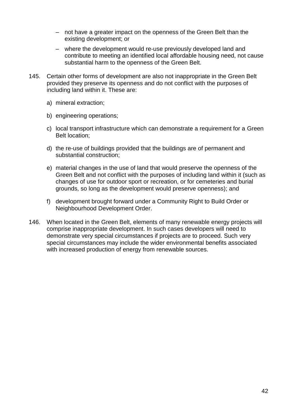- ‒ not have a greater impact on the openness of the Green Belt than the existing development; or
- ‒ where the development would re-use previously developed land and contribute to meeting an identified local affordable housing need, not cause substantial harm to the openness of the Green Belt.
- 145. Certain other forms of development are also not inappropriate in the Green Belt provided they preserve its openness and do not conflict with the purposes of including land within it. These are:
	- a) mineral extraction;
	- b) engineering operations;
	- c) local transport infrastructure which can demonstrate a requirement for a Green Belt location;
	- d) the re-use of buildings provided that the buildings are of permanent and substantial construction;
	- e) material changes in the use of land that would preserve the openness of the Green Belt and not conflict with the purposes of including land within it (such as changes of use for outdoor sport or recreation, or for cemeteries and burial grounds, so long as the development would preserve openness); and
	- f) development brought forward under a Community Right to Build Order or Neighbourhood Development Order.
- 146. When located in the Green Belt, elements of many renewable energy projects will comprise inappropriate development. In such cases developers will need to demonstrate very special circumstances if projects are to proceed. Such very special circumstances may include the wider environmental benefits associated with increased production of energy from renewable sources.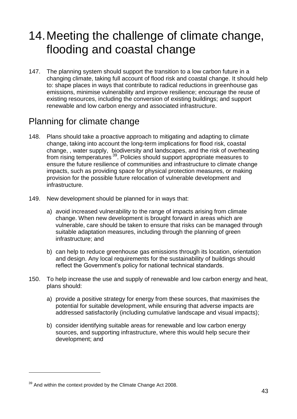# <span id="page-42-0"></span>14.Meeting the challenge of climate change, flooding and coastal change

147. The planning system should support the transition to a low carbon future in a changing climate, taking full account of flood risk and coastal change. It should help to: shape places in ways that contribute to radical reductions in greenhouse gas emissions, minimise vulnerability and improve resilience; encourage the reuse of existing resources, including the conversion of existing buildings; and support renewable and low carbon energy and associated infrastructure.

### Planning for climate change

- 148. Plans should take a proactive approach to mitigating and adapting to climate change, taking into account the long-term implications for flood risk, coastal change, , water supply, biodiversity and landscapes, and the risk of overheating from rising temperatures<sup>39</sup>. Policies should support appropriate measures to ensure the future resilience of communities and infrastructure to climate change impacts, such as providing space for physical protection measures, or making provision for the possible future relocation of vulnerable development and infrastructure.
- 149. New development should be planned for in ways that:
	- a) avoid increased vulnerability to the range of impacts arising from climate change. When new development is brought forward in areas which are vulnerable, care should be taken to ensure that risks can be managed through suitable adaptation measures, including through the planning of green infrastructure; and
	- b) can help to reduce greenhouse gas emissions through its location, orientation and design. Any local requirements for the sustainability of buildings should reflect the Government's policy for national technical standards.
- 150. To help increase the use and supply of renewable and low carbon energy and heat, plans should:
	- a) provide a positive strategy for energy from these sources, that maximises the potential for suitable development, while ensuring that adverse impacts are addressed satisfactorily (including cumulative landscape and visual impacts);
	- b) consider identifying suitable areas for renewable and low carbon energy sources, and supporting infrastructure, where this would help secure their development; and

 $39$  And within the context provided by the Climate Change Act 2008.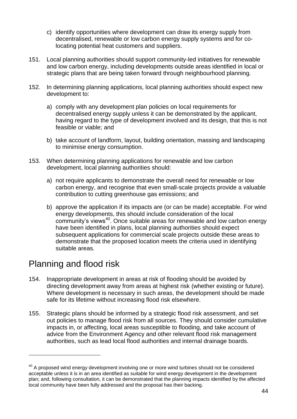- c) identify opportunities where development can draw its energy supply from decentralised, renewable or low carbon energy supply systems and for colocating potential heat customers and suppliers.
- 151. Local planning authorities should support community-led initiatives for renewable and low carbon energy, including developments outside areas identified in local or strategic plans that are being taken forward through neighbourhood planning.
- 152. In determining planning applications, local planning authorities should expect new development to:
	- a) comply with any development plan policies on local requirements for decentralised energy supply unless it can be demonstrated by the applicant, having regard to the type of development involved and its design, that this is not feasible or viable; and
	- b) take account of landform, layout, building orientation, massing and landscaping to minimise energy consumption.
- 153. When determining planning applications for renewable and low carbon development, local planning authorities should:
	- a) not require applicants to demonstrate the overall need for renewable or low carbon energy, and recognise that even small-scale projects provide a valuable contribution to cutting greenhouse gas emissions; and
	- b) approve the application if its impacts are (or can be made) acceptable. For wind energy developments, this should include consideration of the local community's views<sup>40</sup>. Once suitable areas for renewable and low carbon energy have been identified in plans, local planning authorities should expect subsequent applications for commercial scale projects outside these areas to demonstrate that the proposed location meets the criteria used in identifying suitable areas.

## Planning and flood risk

- 154. Inappropriate development in areas at risk of flooding should be avoided by directing development away from areas at highest risk (whether existing or future). Where development is necessary in such areas, the development should be made safe for its lifetime without increasing flood risk elsewhere.
- 155. Strategic plans should be informed by a strategic flood risk assessment, and set out policies to manage flood risk from all sources. They should consider cumulative impacts in, or affecting, local areas susceptible to flooding, and take account of advice from the Environment Agency and other relevant flood risk management authorities, such as lead local flood authorities and internal drainage boards.

 $40$  A proposed wind energy development involving one or more wind turbines should not be considered acceptable unless it is in an area identified as suitable for wind energy development in the development plan; and, following consultation, it can be demonstrated that the planning impacts identified by the affected local community have been fully addressed and the proposal has their backing.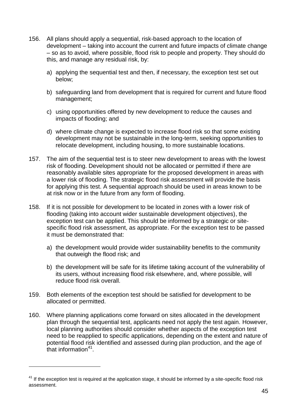- 156. All plans should apply a sequential, risk-based approach to the location of development – taking into account the current and future impacts of climate change – so as to avoid, where possible, flood risk to people and property. They should do this, and manage any residual risk, by:
	- a) applying the sequential test and then, if necessary, the exception test set out below;
	- b) safeguarding land from development that is required for current and future flood management;
	- c) using opportunities offered by new development to reduce the causes and impacts of flooding; and
	- d) where climate change is expected to increase flood risk so that some existing development may not be sustainable in the long-term, seeking opportunities to relocate development, including housing, to more sustainable locations.
- 157. The aim of the sequential test is to steer new development to areas with the lowest risk of flooding. Development should not be allocated or permitted if there are reasonably available sites appropriate for the proposed development in areas with a lower risk of flooding. The strategic flood risk assessment will provide the basis for applying this test. A sequential approach should be used in areas known to be at risk now or in the future from any form of flooding.
- 158. If it is not possible for development to be located in zones with a lower risk of flooding (taking into account wider sustainable development objectives), the exception test can be applied. This should be informed by a strategic or sitespecific flood risk assessment, as appropriate. For the exception test to be passed it must be demonstrated that:
	- a) the development would provide wider sustainability benefits to the community that outweigh the flood risk; and
	- b) the development will be safe for its lifetime taking account of the vulnerability of its users, without increasing flood risk elsewhere, and, where possible, will reduce flood risk overall.
- 159. Both elements of the exception test should be satisfied for development to be allocated or permitted.
- 160. Where planning applications come forward on sites allocated in the development plan through the sequential test, applicants need not apply the test again. However, local planning authorities should consider whether aspects of the exception test need to be reapplied to specific applications, depending on the extent and nature of potential flood risk identified and assessed during plan production, and the age of that information<sup>41</sup>.

 $41$  If the exception test is required at the application stage, it should be informed by a site-specific flood risk assessment.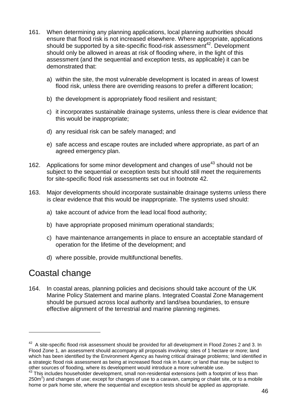- 161. When determining any planning applications, local planning authorities should ensure that flood risk is not increased elsewhere. Where appropriate, applications should be supported by a site-specific flood-risk assessment<sup>42</sup>. Development should only be allowed in areas at risk of flooding where, in the light of this assessment (and the sequential and exception tests, as applicable) it can be demonstrated that:
	- a) within the site, the most vulnerable development is located in areas of lowest flood risk, unless there are overriding reasons to prefer a different location;
	- b) the development is appropriately flood resilient and resistant;
	- c) it incorporates sustainable drainage systems, unless there is clear evidence that this would be inappropriate;
	- d) any residual risk can be safely managed; and
	- e) safe access and escape routes are included where appropriate, as part of an agreed emergency plan.
- 162. Applications for some minor development and changes of use<sup>43</sup> should not be subject to the sequential or exception tests but should still meet the requirements for site-specific flood risk assessments set out in footnote 42.
- 163. Major developments should incorporate sustainable drainage systems unless there is clear evidence that this would be inappropriate. The systems used should:
	- a) take account of advice from the lead local flood authority;
	- b) have appropriate proposed minimum operational standards;
	- c) have maintenance arrangements in place to ensure an acceptable standard of operation for the lifetime of the development; and
	- d) where possible, provide multifunctional benefits.

### Coastal change

l

164. In coastal areas, planning policies and decisions should take account of the UK Marine Policy Statement and marine plans. Integrated Coastal Zone Management should be pursued across local authority and land/sea boundaries, to ensure effective alignment of the terrestrial and marine planning regimes.

 $42$  A site-specific flood risk assessment should be provided for all development in Flood Zones 2 and 3. In Flood Zone 1, an assessment should accompany all proposals involving: sites of 1 hectare or more; land which has been identified by the Environment Agency as having critical drainage problems; land identified in a strategic flood risk assessment as being at increased flood risk in future; or land that may be subject to other sources of flooding, where its development would introduce a more vulnerable use.

<sup>&</sup>lt;sup>43</sup> This includes householder development, small non-residential extensions (with a footprint of less than 250m<sup>2</sup>) and changes of use; except for changes of use to a caravan, camping or chalet site, or to a mobile home or park home site, where the sequential and exception tests should be applied as appropriate.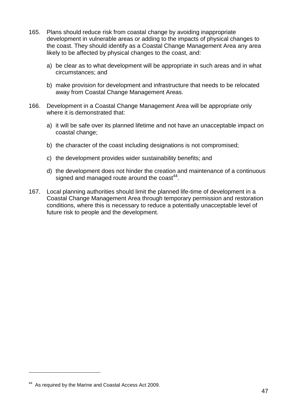- 165. Plans should reduce risk from coastal change by avoiding inappropriate development in vulnerable areas or adding to the impacts of physical changes to the coast. They should identify as a Coastal Change Management Area any area likely to be affected by physical changes to the coast, and:
	- a) be clear as to what development will be appropriate in such areas and in what circumstances; and
	- b) make provision for development and infrastructure that needs to be relocated away from Coastal Change Management Areas.
- 166. Development in a Coastal Change Management Area will be appropriate only where it is demonstrated that:
	- a) it will be safe over its planned lifetime and not have an unacceptable impact on coastal change;
	- b) the character of the coast including designations is not compromised;
	- c) the development provides wider sustainability benefits; and
	- d) the development does not hinder the creation and maintenance of a continuous signed and managed route around the  $\cos t^{44}$ .
- 167. Local planning authorities should limit the planned life-time of development in a Coastal Change Management Area through temporary permission and restoration conditions, where this is necessary to reduce a potentially unacceptable level of future risk to people and the development.

<sup>&</sup>lt;sup>44</sup> As required by the Marine and Coastal Access Act 2009.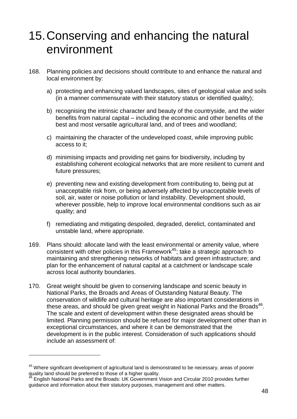## <span id="page-47-0"></span>15.Conserving and enhancing the natural environment

- 168. Planning policies and decisions should contribute to and enhance the natural and local environment by:
	- a) protecting and enhancing valued landscapes, sites of geological value and soils (in a manner commensurate with their statutory status or identified quality);
	- b) recognising the intrinsic character and beauty of the countryside, and the wider benefits from natural capital – including the economic and other benefits of the best and most versatile agricultural land, and of trees and woodland;
	- c) maintaining the character of the undeveloped coast, while improving public access to it;
	- d) minimising impacts and providing net gains for biodiversity, including by establishing coherent ecological networks that are more resilient to current and future pressures;
	- e) preventing new and existing development from contributing to, being put at unacceptable risk from, or being adversely affected by unacceptable levels of soil, air, water or noise pollution or land instability. Development should, wherever possible, help to improve local environmental conditions such as air quality; and
	- f) remediating and mitigating despoiled, degraded, derelict, contaminated and unstable land, where appropriate.
- 169. Plans should: allocate land with the least environmental or amenity value, where consistent with other policies in this Framework<sup>45</sup>; take a strategic approach to maintaining and strengthening networks of habitats and green infrastructure; and plan for the enhancement of natural capital at a catchment or landscape scale across local authority boundaries.
- 170. Great weight should be given to conserving landscape and scenic beauty in National Parks, the Broads and Areas of Outstanding Natural Beauty. The conservation of wildlife and cultural heritage are also important considerations in these areas, and should be given great weight in National Parks and the Broads<sup>46</sup>. The scale and extent of development within these designated areas should be limited. Planning permission should be refused for major development other than in exceptional circumstances, and where it can be demonstrated that the development is in the public interest. Consideration of such applications should include an assessment of:

<sup>&</sup>lt;sup>45</sup> Where significant development of agricultural land is demonstrated to be necessary, areas of poorer quality land should be preferred to those of a higher quality.

<sup>46</sup> English National Parks and the Broads: UK Government Vision and Circular 2010 provides further guidance and information about their statutory purposes, management and other matters.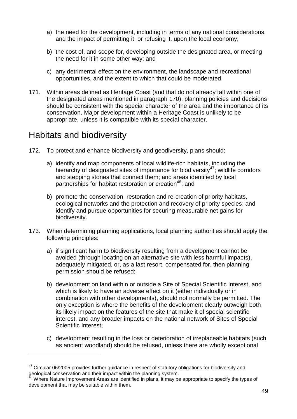- a) the need for the development, including in terms of any national considerations, and the impact of permitting it, or refusing it, upon the local economy;
- b) the cost of, and scope for, developing outside the designated area, or meeting the need for it in some other way; and
- c) any detrimental effect on the environment, the landscape and recreational opportunities, and the extent to which that could be moderated.
- 171. Within areas defined as Heritage Coast (and that do not already fall within one of the designated areas mentioned in paragraph 170), planning policies and decisions should be consistent with the special character of the area and the importance of its conservation. Major development within a Heritage Coast is unlikely to be appropriate, unless it is compatible with its special character.

### Habitats and biodiversity

- 172. To protect and enhance biodiversity and geodiversity, plans should:
	- a) identify and map components of local wildlife-rich habitats, including the hierarchy of designated sites of importance for biodiversity<sup>47</sup>; wildlife corridors and stepping stones that connect them; and areas identified by local partnerships for habitat restoration or creation<sup>48</sup>; and
	- b) promote the conservation, restoration and re-creation of priority habitats, ecological networks and the protection and recovery of priority species; and identify and pursue opportunities for securing measurable net gains for biodiversity.
- 173. When determining planning applications, local planning authorities should apply the following principles:
	- a) if significant harm to biodiversity resulting from a development cannot be avoided (through locating on an alternative site with less harmful impacts), adequately mitigated, or, as a last resort, compensated for, then planning permission should be refused;
	- b) development on land within or outside a Site of Special Scientific Interest, and which is likely to have an adverse effect on it (either individually or in combination with other developments), should not normally be permitted. The only exception is where the benefits of the development clearly outweigh both its likely impact on the features of the site that make it of special scientific interest, and any broader impacts on the national network of Sites of Special Scientific Interest;
	- c) development resulting in the loss or deterioration of irreplaceable habitats (such as ancient woodland) should be refused, unless there are wholly exceptional

<sup>&</sup>lt;sup>47</sup> Circular 06/2005 provides further guidance in respect of statutory obligations for biodiversity and geological conservation and their impact within the planning system.

Where Nature Improvement Areas are identified in plans, it may be appropriate to specify the types of development that may be suitable within them.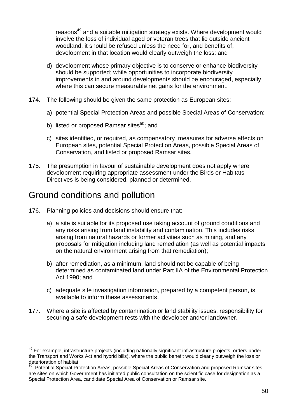reasons<sup>49</sup> and a suitable mitigation strategy exists. Where development would involve the loss of individual aged or veteran trees that lie outside ancient woodland, it should be refused unless the need for, and benefits of, development in that location would clearly outweigh the loss; and

- d) development whose primary objective is to conserve or enhance biodiversity should be supported; while opportunities to incorporate biodiversity improvements in and around developments should be encouraged, especially where this can secure measurable net gains for the environment.
- 174. The following should be given the same protection as European sites:
	- a) potential Special Protection Areas and possible Special Areas of Conservation;
	- b) listed or proposed Ramsar sites<sup>50</sup>; and
	- c) sites identified, or required, as compensatory measures for adverse effects on European sites, potential Special Protection Areas, possible Special Areas of Conservation, and listed or proposed Ramsar sites.
- 175. The presumption in favour of sustainable development does not apply where development requiring appropriate assessment under the Birds or Habitats Directives is being considered, planned or determined.

### Ground conditions and pollution

- 176. Planning policies and decisions should ensure that:
	- a) a site is suitable for its proposed use taking account of ground conditions and any risks arising from land instability and contamination. This includes risks arising from natural hazards or former activities such as mining, and any proposals for mitigation including land remediation (as well as potential impacts on the natural environment arising from that remediation);
	- b) after remediation, as a minimum, land should not be capable of being determined as contaminated land under Part IIA of the Environmental Protection Act 1990; and
	- c) adequate site investigation information, prepared by a competent person, is available to inform these assessments.
- 177. Where a site is affected by contamination or land stability issues, responsibility for securing a safe development rests with the developer and/or landowner.

<sup>&</sup>lt;sup>49</sup> For example, infrastructure projects (including nationally significant infrastructure projects, orders under the Transport and Works Act and hybrid bills), where the public benefit would clearly outweigh the loss or deterioration of habitat.

<sup>50</sup> Potential Special Protection Areas, possible Special Areas of Conservation and proposed Ramsar sites are sites on which Government has initiated public consultation on the scientific case for designation as a Special Protection Area, candidate Special Area of Conservation or Ramsar site.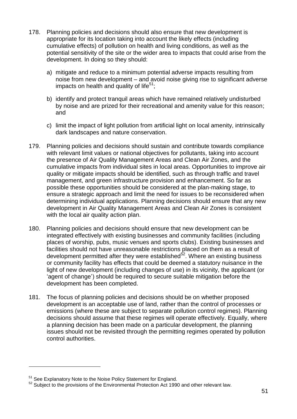- 178. Planning policies and decisions should also ensure that new development is appropriate for its location taking into account the likely effects (including cumulative effects) of pollution on health and living conditions, as well as the potential sensitivity of the site or the wider area to impacts that could arise from the development. In doing so they should:
	- a) mitigate and reduce to a minimum potential adverse impacts resulting from noise from new development – and avoid noise giving rise to significant adverse impacts on health and quality of life<sup>51</sup>:
	- b) identify and protect tranquil areas which have remained relatively undisturbed by noise and are prized for their recreational and amenity value for this reason; and
	- c) limit the impact of light pollution from artificial light on local amenity, intrinsically dark landscapes and nature conservation.
- 179. Planning policies and decisions should sustain and contribute towards compliance with relevant limit values or national objectives for pollutants, taking into account the presence of Air Quality Management Areas and Clean Air Zones, and the cumulative impacts from individual sites in local areas. Opportunities to improve air quality or mitigate impacts should be identified, such as through traffic and travel management, and green infrastructure provision and enhancement. So far as possible these opportunities should be considered at the plan-making stage, to ensure a strategic approach and limit the need for issues to be reconsidered when determining individual applications. Planning decisions should ensure that any new development in Air Quality Management Areas and Clean Air Zones is consistent with the local air quality action plan.
- 180. Planning policies and decisions should ensure that new development can be integrated effectively with existing businesses and community facilities (including places of worship, pubs, music venues and sports clubs). Existing businesses and facilities should not have unreasonable restrictions placed on them as a result of development permitted after they were established<sup>52</sup>. Where an existing business or community facility has effects that could be deemed a statutory nuisance in the light of new development (including changes of use) in its vicinity, the applicant (or 'agent of change') should be required to secure suitable mitigation before the development has been completed.
- 181. The focus of planning policies and decisions should be on whether proposed development is an acceptable use of land, rather than the control of processes or emissions (where these are subject to separate pollution control regimes). Planning decisions should assume that these regimes will operate effectively. Equally, where a planning decision has been made on a particular development, the planning issues should not be revisited through the permitting regimes operated by pollution control authorities.

<sup>&</sup>lt;sup>51</sup> See Explanatory Note to the Noise Policy Statement for England.

 $52$  Subject to the provisions of the Environmental Protection Act 1990 and other relevant law.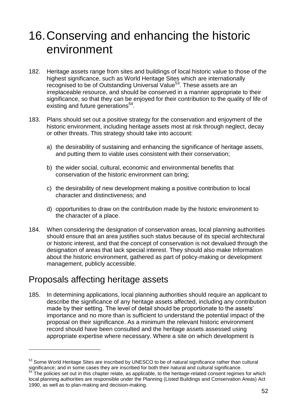## <span id="page-51-0"></span>16.Conserving and enhancing the historic environment

- 182. Heritage assets range from sites and buildings of local historic value to those of the highest significance, such as World Heritage Sites which are internationally recognised to be of Outstanding Universal Value<sup>53</sup>. These assets are an irreplaceable resource, and should be conserved in a manner appropriate to their significance, so that they can be enjoyed for their contribution to the quality of life of existing and future generations<sup>54</sup>.
- 183. Plans should set out a positive strategy for the conservation and enjoyment of the historic environment, including heritage assets most at risk through neglect, decay or other threats. This strategy should take into account:
	- a) the desirability of sustaining and enhancing the significance of heritage assets, and putting them to viable uses consistent with their conservation;
	- b) the wider social, cultural, economic and environmental benefits that conservation of the historic environment can bring;
	- c) the desirability of new development making a positive contribution to local character and distinctiveness; and
	- d) opportunities to draw on the contribution made by the historic environment to the character of a place.
- 184. When considering the designation of conservation areas, local planning authorities should ensure that an area justifies such status because of its special architectural or historic interest, and that the concept of conservation is not devalued through the designation of areas that lack special interest. They should also make Information about the historic environment, gathered as part of policy-making or development management, publicly accessible.

## Proposals affecting heritage assets

 $\overline{a}$ 

185. In determining applications, local planning authorities should require an applicant to describe the significance of any heritage assets affected, including any contribution made by their setting. The level of detail should be proportionate to the assets' importance and no more than is sufficient to understand the potential impact of the proposal on their significance. As a minimum the relevant historic environment record should have been consulted and the heritage assets assessed using appropriate expertise where necessary. Where a site on which development is

<sup>&</sup>lt;sup>53</sup> Some World Heritage Sites are inscribed by UNESCO to be of natural significance rather than cultural significance; and in some cases they are inscribed for both their natural and cultural significance. <sup>54</sup> The policies set out in this chapter relate, as applicable, to the heritage-related consent regimes for which

local planning authorities are responsible under the Planning (Listed Buildings and Conservation Areas) Act 1990, as well as to plan-making and decision-making.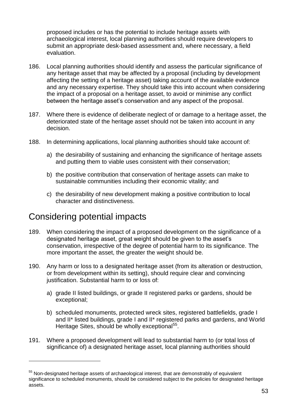proposed includes or has the potential to include heritage assets with archaeological interest, local planning authorities should require developers to submit an appropriate desk-based assessment and, where necessary, a field evaluation.

- 186. Local planning authorities should identify and assess the particular significance of any heritage asset that may be affected by a proposal (including by development affecting the setting of a heritage asset) taking account of the available evidence and any necessary expertise. They should take this into account when considering the impact of a proposal on a heritage asset, to avoid or minimise any conflict between the heritage asset's conservation and any aspect of the proposal.
- 187. Where there is evidence of deliberate neglect of or damage to a heritage asset, the deteriorated state of the heritage asset should not be taken into account in any decision.
- 188. In determining applications, local planning authorities should take account of:
	- a) the desirability of sustaining and enhancing the significance of heritage assets and putting them to viable uses consistent with their conservation;
	- b) the positive contribution that conservation of heritage assets can make to sustainable communities including their economic vitality; and
	- c) the desirability of new development making a positive contribution to local character and distinctiveness.

### Considering potential impacts

- 189. When considering the impact of a proposed development on the significance of a designated heritage asset, great weight should be given to the asset's conservation, irrespective of the degree of potential harm to its significance. The more important the asset, the greater the weight should be.
- 190. Any harm or loss to a designated heritage asset (from its alteration or destruction, or from development within its setting), should require clear and convincing justification. Substantial harm to or loss of:
	- a) grade II listed buildings, or grade II registered parks or gardens, should be exceptional;
	- b) scheduled monuments, protected wreck sites, registered battlefields, grade I and II\* listed buildings, grade I and II\* registered parks and gardens, and World Heritage Sites, should be wholly exceptional<sup>55</sup>.
- 191. Where a proposed development will lead to substantial harm to (or total loss of significance of) a designated heritage asset, local planning authorities should

 $55$  Non-designated heritage assets of archaeological interest, that are demonstrably of equivalent significance to scheduled monuments, should be considered subject to the policies for designated heritage assets.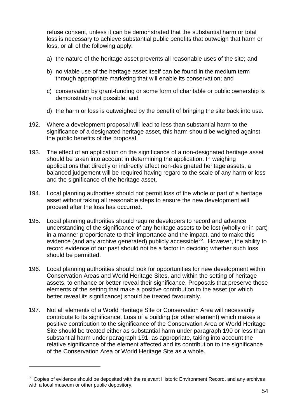refuse consent, unless it can be demonstrated that the substantial harm or total loss is necessary to achieve substantial public benefits that outweigh that harm or loss, or all of the following apply:

- a) the nature of the heritage asset prevents all reasonable uses of the site; and
- b) no viable use of the heritage asset itself can be found in the medium term through appropriate marketing that will enable its conservation; and
- c) conservation by grant-funding or some form of charitable or public ownership is demonstrably not possible; and
- d) the harm or loss is outweighed by the benefit of bringing the site back into use.
- 192. Where a development proposal will lead to less than substantial harm to the significance of a designated heritage asset, this harm should be weighed against the public benefits of the proposal.
- 193. The effect of an application on the significance of a non-designated heritage asset should be taken into account in determining the application. In weighing applications that directly or indirectly affect non-designated heritage assets, a balanced judgement will be required having regard to the scale of any harm or loss and the significance of the heritage asset.
- 194. Local planning authorities should not permit loss of the whole or part of a heritage asset without taking all reasonable steps to ensure the new development will proceed after the loss has occurred.
- 195. Local planning authorities should require developers to record and advance understanding of the significance of any heritage assets to be lost (wholly or in part) in a manner proportionate to their importance and the impact, and to make this evidence (and any archive generated) publicly accessible<sup>56</sup>. However, the ability to record evidence of our past should not be a factor in deciding whether such loss should be permitted.
- 196. Local planning authorities should look for opportunities for new development within Conservation Areas and World Heritage Sites, and within the setting of heritage assets, to enhance or better reveal their significance. Proposals that preserve those elements of the setting that make a positive contribution to the asset (or which better reveal its significance) should be treated favourably.
- 197. Not all elements of a World Heritage Site or Conservation Area will necessarily contribute to its significance. Loss of a building (or other element) which makes a positive contribution to the significance of the Conservation Area or World Heritage Site should be treated either as substantial harm under paragraph 190 or less than substantial harm under paragraph 191, as appropriate, taking into account the relative significance of the element affected and its contribution to the significance of the Conservation Area or World Heritage Site as a whole.

<sup>&</sup>lt;sup>56</sup> Copies of evidence should be deposited with the relevant Historic Environment Record, and any archives with a local museum or other public depository.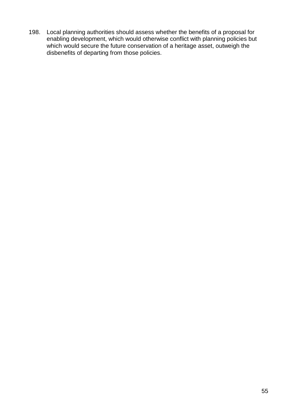198. Local planning authorities should assess whether the benefits of a proposal for enabling development, which would otherwise conflict with planning policies but which would secure the future conservation of a heritage asset, outweigh the disbenefits of departing from those policies.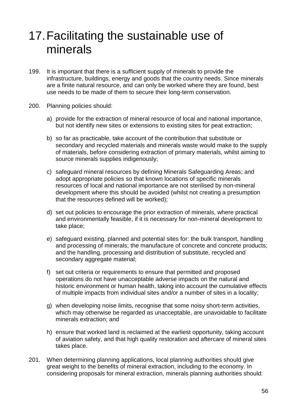## <span id="page-55-0"></span>17.Facilitating the sustainable use of minerals

- 199. It is important that there is a sufficient supply of minerals to provide the infrastructure, buildings, energy and goods that the country needs. Since minerals are a finite natural resource, and can only be worked where they are found, best use needs to be made of them to secure their long-term conservation.
- 200. Planning policies should:
	- a) provide for the extraction of mineral resource of local and national importance, but not identify new sites or extensions to existing sites for peat extraction;
	- b) so far as practicable, take account of the contribution that substitute or secondary and recycled materials and minerals waste would make to the supply of materials, before considering extraction of primary materials, whilst aiming to source minerals supplies indigenously;
	- c) safeguard mineral resources by defining Minerals Safeguarding Areas; and adopt appropriate policies so that known locations of specific minerals resources of local and national importance are not sterilised by non-mineral development where this should be avoided (whilst not creating a presumption that the resources defined will be worked);
	- d) set out policies to encourage the prior extraction of minerals, where practical and environmentally feasible, if it is necessary for non-mineral development to take place;
	- e) safeguard existing, planned and potential sites for: the bulk transport, handling and processing of minerals; the manufacture of concrete and concrete products; and the handling, processing and distribution of substitute, recycled and secondary aggregate material;
	- f) set out criteria or requirements to ensure that permitted and proposed operations do not have unacceptable adverse impacts on the natural and historic environment or human health, taking into account the cumulative effects of multiple impacts from individual sites and/or a number of sites in a locality;
	- g) when developing noise limits, recognise that some noisy short-term activities, which may otherwise be regarded as unacceptable, are unavoidable to facilitate minerals extraction; and
	- h) ensure that worked land is reclaimed at the earliest opportunity, taking account of aviation safety, and that high quality restoration and aftercare of mineral sites takes place.
- 201. When determining planning applications, local planning authorities should give great weight to the benefits of mineral extraction, including to the economy. In considering proposals for mineral extraction, minerals planning authorities should: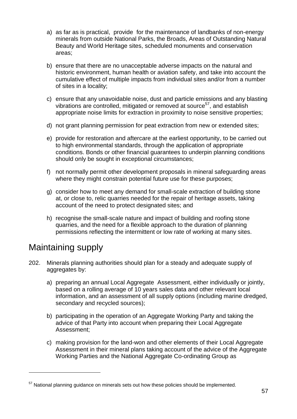- a) as far as is practical, provide for the maintenance of landbanks of non-energy minerals from outside National Parks, the Broads, Areas of Outstanding Natural Beauty and World Heritage sites, scheduled monuments and conservation areas;
- b) ensure that there are no unacceptable adverse impacts on the natural and historic environment, human health or aviation safety, and take into account the cumulative effect of multiple impacts from individual sites and/or from a number of sites in a locality;
- c) ensure that any unavoidable noise, dust and particle emissions and any blasting vibrations are controlled, mitigated or removed at source<sup>57</sup>, and establish appropriate noise limits for extraction in proximity to noise sensitive properties;
- d) not grant planning permission for peat extraction from new or extended sites;
- e) provide for restoration and aftercare at the earliest opportunity, to be carried out to high environmental standards, through the application of appropriate conditions. Bonds or other financial guarantees to underpin planning conditions should only be sought in exceptional circumstances;
- f) not normally permit other development proposals in mineral safeguarding areas where they might constrain potential future use for these purposes;
- g) consider how to meet any demand for small-scale extraction of building stone at, or close to, relic quarries needed for the repair of heritage assets, taking account of the need to protect designated sites; and
- h) recognise the small-scale nature and impact of building and roofing stone quarries, and the need for a flexible approach to the duration of planning permissions reflecting the intermittent or low rate of working at many sites.

## Maintaining supply

- 202. Minerals planning authorities should plan for a steady and adequate supply of aggregates by:
	- a) preparing an annual Local Aggregate Assessment, either individually or jointly, based on a rolling average of 10 years sales data and other relevant local information, and an assessment of all supply options (including marine dredged, secondary and recycled sources);
	- b) participating in the operation of an Aggregate Working Party and taking the advice of that Party into account when preparing their Local Aggregate Assessment;
	- c) making provision for the land-won and other elements of their Local Aggregate Assessment in their mineral plans taking account of the advice of the Aggregate Working Parties and the National Aggregate Co-ordinating Group as

<sup>&</sup>lt;sup>57</sup> National planning guidance on minerals sets out how these policies should be implemented.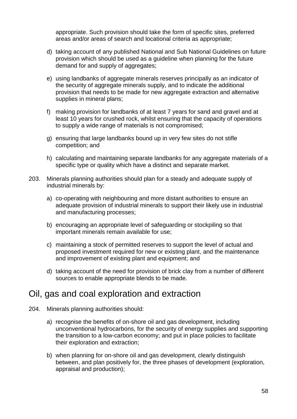appropriate. Such provision should take the form of specific sites, preferred areas and/or areas of search and locational criteria as appropriate;

- d) taking account of any published National and Sub National Guidelines on future provision which should be used as a guideline when planning for the future demand for and supply of aggregates;
- e) using landbanks of aggregate minerals reserves principally as an indicator of the security of aggregate minerals supply, and to indicate the additional provision that needs to be made for new aggregate extraction and alternative supplies in mineral plans;
- f) making provision for landbanks of at least 7 years for sand and gravel and at least 10 years for crushed rock, whilst ensuring that the capacity of operations to supply a wide range of materials is not compromised;
- g) ensuring that large landbanks bound up in very few sites do not stifle competition; and
- h) calculating and maintaining separate landbanks for any aggregate materials of a specific type or quality which have a distinct and separate market.
- 203. Minerals planning authorities should plan for a steady and adequate supply of industrial minerals by:
	- a) co-operating with neighbouring and more distant authorities to ensure an adequate provision of industrial minerals to support their likely use in industrial and manufacturing processes;
	- b) encouraging an appropriate level of safeguarding or stockpiling so that important minerals remain available for use;
	- c) maintaining a stock of permitted reserves to support the level of actual and proposed investment required for new or existing plant, and the maintenance and improvement of existing plant and equipment; and
	- d) taking account of the need for provision of brick clay from a number of different sources to enable appropriate blends to be made.

#### Oil, gas and coal exploration and extraction

- 204. Minerals planning authorities should:
	- a) recognise the benefits of on-shore oil and gas development, including unconventional hydrocarbons, for the security of energy supplies and supporting the transition to a low-carbon economy; and put in place policies to facilitate their exploration and extraction;
	- b) when planning for on-shore oil and gas development, clearly distinguish between, and plan positively for, the three phases of development (exploration, appraisal and production);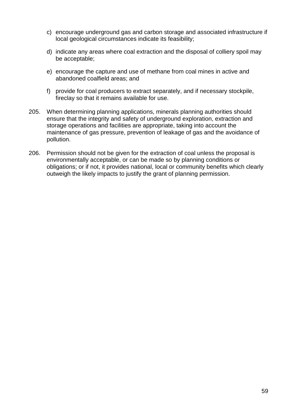- c) encourage underground gas and carbon storage and associated infrastructure if local geological circumstances indicate its feasibility;
- d) indicate any areas where coal extraction and the disposal of colliery spoil may be acceptable;
- e) encourage the capture and use of methane from coal mines in active and abandoned coalfield areas; and
- f) provide for coal producers to extract separately, and if necessary stockpile, fireclay so that it remains available for use.
- 205. When determining planning applications, minerals planning authorities should ensure that the integrity and safety of underground exploration, extraction and storage operations and facilities are appropriate, taking into account the maintenance of gas pressure, prevention of leakage of gas and the avoidance of pollution.
- 206. Permission should not be given for the extraction of coal unless the proposal is environmentally acceptable, or can be made so by planning conditions or obligations; or if not, it provides national, local or community benefits which clearly outweigh the likely impacts to justify the grant of planning permission.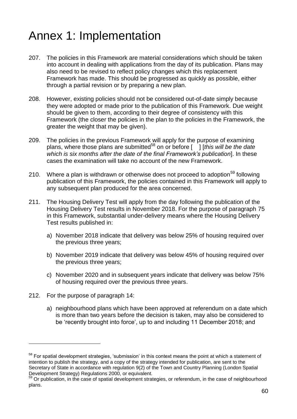# <span id="page-59-0"></span>Annex 1: Implementation

- 207. The policies in this Framework are material considerations which should be taken into account in dealing with applications from the day of its publication. Plans may also need to be revised to reflect policy changes which this replacement Framework has made. This should be progressed as quickly as possible, either through a partial revision or by preparing a new plan.
- 208. However, existing policies should not be considered out-of-date simply because they were adopted or made prior to the publication of this Framework. Due weight should be given to them, according to their degree of consistency with this Framework (the closer the policies in the plan to the policies in the Framework, the greater the weight that may be given).
- 209. The policies in the previous Framework will apply for the purpose of examining plans, where those plans are submitted<sup>58</sup> on or before [ ] [*this will be the date which is six months after the date of the final Framework's publication*]. In these cases the examination will take no account of the new Framework.
- 210. Where a plan is withdrawn or otherwise does not proceed to adoption<sup>59</sup> following publication of this Framework, the policies contained in this Framework will apply to any subsequent plan produced for the area concerned.
- 211. The Housing Delivery Test will apply from the day following the publication of the Housing Delivery Test results in November 2018. For the purpose of paragraph 75 in this Framework, substantial under-delivery means where the Housing Delivery Test results published in:
	- a) November 2018 indicate that delivery was below 25% of housing required over the previous three years;
	- b) November 2019 indicate that delivery was below 45% of housing required over the previous three years;
	- c) November 2020 and in subsequent years indicate that delivery was below 75% of housing required over the previous three years.
- 212. For the purpose of paragraph 14:

l

a) neighbourhood plans which have been approved at referendum on a date which is more than two years before the decision is taken, may also be considered to be 'recently brought into force', up to and including 11 December 2018; and

<sup>&</sup>lt;sup>58</sup> For spatial development strategies, 'submission' in this context means the point at which a statement of intention to publish the strategy, and a copy of the strategy intended for publication, are sent to the Secretary of State in accordance with regulation 9(2) of the Town and Country Planning (London Spatial Development Strategy) Regulations 2000, or equivalent.

<sup>&</sup>lt;sup>59</sup> Or publication, in the case of spatial development strategies, or referendum, in the case of neighbourhood plans.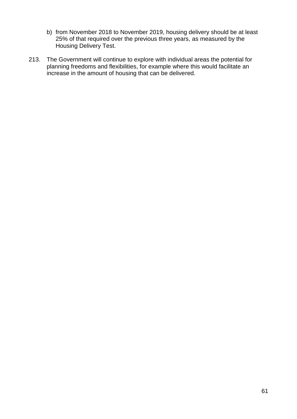- b) from November 2018 to November 2019, housing delivery should be at least 25% of that required over the previous three years, as measured by the Housing Delivery Test.
- 213. The Government will continue to explore with individual areas the potential for planning freedoms and flexibilities, for example where this would facilitate an increase in the amount of housing that can be delivered.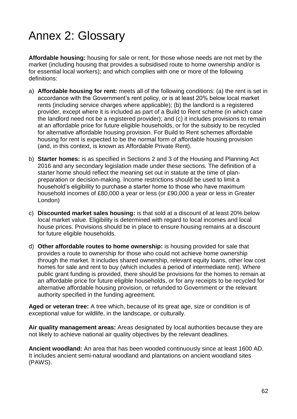# <span id="page-61-0"></span>Annex 2: Glossary

**Affordable housing:** housing for sale or rent, for those whose needs are not met by the market (including housing that provides a subsidised route to home ownership and/or is for essential local workers); and which complies with one or more of the following definitions:

- a) **Affordable housing for rent:** meets all of the following conditions: (a) the rent is set in accordance with the Government's rent policy, or is at least 20% below local market rents (including service charges where applicable); (b) the landlord is a registered provider, except where it is included as part of a Build to Rent scheme (in which case the landlord need not be a registered provider); and (c) it includes provisions to remain at an affordable price for future eligible households, or for the subsidy to be recycled for alternative affordable housing provision. For Build to Rent schemes affordable housing for rent is expected to be the normal form of affordable housing provision (and, in this context, is known as Affordable Private Rent).
- b) **Starter homes:** is as specified in Sections 2 and 3 of the Housing and Planning Act 2016 and any secondary legislation made under these sections. The definition of a starter home should reflect the meaning set out in statute at the time of planpreparation or decision-making. Income restrictions should be used to limit a household's eligibility to purchase a starter home to those who have maximum household incomes of £80,000 a year or less (or £90,000 a year or less in Greater London)
- c) **Discounted market sales housing:** is that sold at a discount of at least 20% below local market value. Eligibility is determined with regard to local incomes and local house prices. Provisions should be in place to ensure housing remains at a discount for future eligible households.
- d) **Other affordable routes to home ownership:** is housing provided for sale that provides a route to ownership for those who could not achieve home ownership through the market. It includes shared ownership, relevant equity loans, other low cost homes for sale and rent to buy (which includes a period of intermediate rent). Where public grant funding is provided, there should be provisions for the homes to remain at an affordable price for future eligible households, or for any receipts to be recycled for alternative affordable housing provision, or refunded to Government or the relevant authority specified in the funding agreement.

**Aged or veteran tree:** A tree which, because of its great age, size or condition is of exceptional value for wildlife, in the landscape, or culturally.

**Air quality management areas:** Areas designated by local authorities because they are not likely to achieve national air quality objectives by the relevant deadlines.

**Ancient woodland:** An area that has been wooded continuously since at least 1600 AD. It includes ancient semi-natural woodland and plantations on ancient woodland sites (PAWS).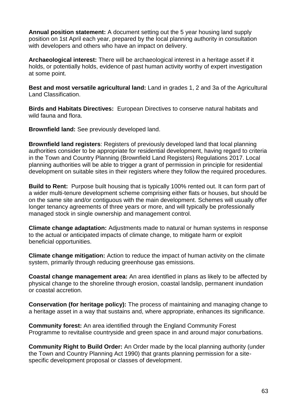**Annual position statement:** A document setting out the 5 year housing land supply position on 1st April each year, prepared by the local planning authority in consultation with developers and others who have an impact on delivery.

**Archaeological interest:** There will be archaeological interest in a heritage asset if it holds, or potentially holds, evidence of past human activity worthy of expert investigation at some point.

**Best and most versatile agricultural land:** Land in grades 1, 2 and 3a of the Agricultural Land Classification.

**Birds and Habitats Directives:** European Directives to conserve natural habitats and wild fauna and flora.

**Brownfield land:** See previously developed land.

**Brownfield land registers**: Registers of previously developed land that local planning authorities consider to be appropriate for residential development, having regard to criteria in the Town and Country Planning (Brownfield Land Registers) Regulations 2017. Local planning authorities will be able to trigger a grant of permission in principle for residential development on suitable sites in their registers where they follow the required procedures.

**Build to Rent:** Purpose built housing that is typically 100% rented out. It can form part of a wider multi-tenure development scheme comprising either flats or houses, but should be on the same site and/or contiguous with the main development. Schemes will usually offer longer tenancy agreements of three years or more, and will typically be professionally managed stock in single ownership and management control.

**Climate change adaptation:** Adjustments made to natural or human systems in response to the actual or anticipated impacts of climate change, to mitigate harm or exploit beneficial opportunities.

**Climate change mitigation:** Action to reduce the impact of human activity on the climate system, primarily through reducing greenhouse gas emissions.

**Coastal change management area:** An area identified in plans as likely to be affected by physical change to the shoreline through erosion, coastal landslip, permanent inundation or coastal accretion.

**Conservation (for heritage policy):** The process of maintaining and managing change to a heritage asset in a way that sustains and, where appropriate, enhances its significance.

**Community forest:** An area identified through the England Community Forest Programme to revitalise countryside and green space in and around major conurbations.

**Community Right to Build Order:** An Order made by the local planning authority (under the Town and Country Planning Act 1990) that grants planning permission for a sitespecific development proposal or classes of development.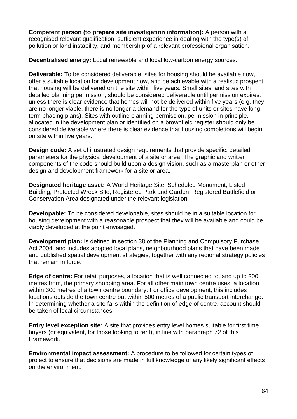**Competent person (to prepare site investigation information):** A person with a recognised relevant qualification, sufficient experience in dealing with the type(s) of pollution or land instability, and membership of a relevant professional organisation.

**Decentralised energy:** Local renewable and local low-carbon energy sources.

**Deliverable:** To be considered deliverable, sites for housing should be available now, offer a suitable location for development now, and be achievable with a realistic prospect that housing will be delivered on the site within five years. Small sites, and sites with detailed planning permission, should be considered deliverable until permission expires, unless there is clear evidence that homes will not be delivered within five years (e.g. they are no longer viable, there is no longer a demand for the type of units or sites have long term phasing plans). Sites with outline planning permission, permission in principle, allocated in the development plan or identified on a brownfield register should only be considered deliverable where there is clear evidence that housing completions will begin on site within five years.

**Design code:** A set of illustrated design requirements that provide specific, detailed parameters for the physical development of a site or area. The graphic and written components of the code should build upon a design vision, such as a masterplan or other design and development framework for a site or area.

**Designated heritage asset:** A World Heritage Site, Scheduled Monument, Listed Building, Protected Wreck Site, Registered Park and Garden, Registered Battlefield or Conservation Area designated under the relevant legislation.

**Developable:** To be considered developable, sites should be in a suitable location for housing development with a reasonable prospect that they will be available and could be viably developed at the point envisaged.

**Development plan:** Is defined in section 38 of the Planning and Compulsory Purchase Act 2004, and includes adopted local plans, neighbourhood plans that have been made and published spatial development strategies, together with any regional strategy policies that remain in force.

**Edge of centre:** For retail purposes, a location that is well connected to, and up to 300 metres from, the primary shopping area. For all other main town centre uses, a location within 300 metres of a town centre boundary. For office development, this includes locations outside the town centre but within 500 metres of a public transport interchange. In determining whether a site falls within the definition of edge of centre, account should be taken of local circumstances.

**Entry level exception site:** A site that provides entry level homes suitable for first time buyers (or equivalent, for those looking to rent), in line with paragraph 72 of this Framework.

**Environmental impact assessment:** A procedure to be followed for certain types of project to ensure that decisions are made in full knowledge of any likely significant effects on the environment.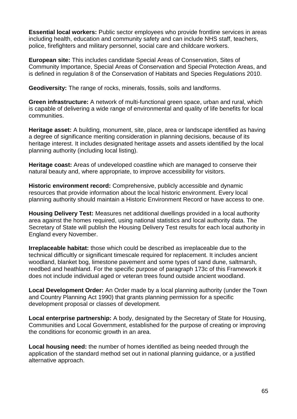**Essential local workers:** Public sector employees who provide frontline services in areas including health, education and community safety and can include NHS staff, teachers, police, firefighters and military personnel, social care and childcare workers.

**European site:** This includes candidate Special Areas of Conservation, Sites of Community Importance, Special Areas of Conservation and Special Protection Areas, and is defined in regulation 8 of the Conservation of Habitats and Species Regulations 2010.

**Geodiversity:** The range of rocks, minerals, fossils, soils and landforms.

**Green infrastructure:** A network of multi-functional green space, urban and rural, which is capable of delivering a wide range of environmental and quality of life benefits for local communities.

**Heritage asset:** A building, monument, site, place, area or landscape identified as having a degree of significance meriting consideration in planning decisions, because of its heritage interest. It includes designated heritage assets and assets identified by the local planning authority (including local listing).

**Heritage coast:** Areas of undeveloped coastline which are managed to conserve their natural beauty and, where appropriate, to improve accessibility for visitors.

**Historic environment record:** Comprehensive, publicly accessible and dynamic resources that provide information about the local historic environment. Every local planning authority should maintain a Historic Environment Record or have access to one.

**Housing Delivery Test:** Measures net additional dwellings provided in a local authority area against the homes required, using national statistics and local authority data. The Secretary of State will publish the Housing Delivery Test results for each local authority in England every November.

**Irreplaceable habitat:** those which could be described as irreplaceable due to the technical difficultly or significant timescale required for replacement. It includes ancient woodland, blanket bog, limestone pavement and some types of sand dune, saltmarsh, reedbed and heathland. For the specific purpose of paragraph 173c of this Framework it does not include individual aged or veteran trees found outside ancient woodland.

**Local Development Order:** An Order made by a local planning authority (under the Town and Country Planning Act 1990) that grants planning permission for a specific development proposal or classes of development.

**Local enterprise partnership:** A body, designated by the Secretary of State for Housing, Communities and Local Government, established for the purpose of creating or improving the conditions for economic growth in an area.

**Local housing need:** the number of homes identified as being needed through the application of the standard method set out in national planning guidance, or a justified alternative approach.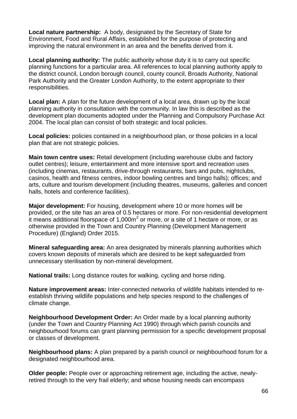**Local nature partnership:** A body, designated by the Secretary of State for Environment, Food and Rural Affairs, established for the purpose of protecting and improving the natural environment in an area and the benefits derived from it.

**Local planning authority:** The public authority whose duty it is to carry out specific planning functions for a particular area. All references to local planning authority apply to the district council, London borough council, county council, Broads Authority, National Park Authority and the Greater London Authority, to the extent appropriate to their responsibilities.

**Local plan:** A plan for the future development of a local area, drawn up by the local planning authority in consultation with the community. In law this is described as the development plan documents adopted under the Planning and Compulsory Purchase Act 2004. The local plan can consist of both strategic and local policies.

**Local policies:** policies contained in a neighbourhood plan, or those policies in a local plan that are not strategic policies.

**Main town centre uses:** Retail development (including warehouse clubs and factory outlet centres); leisure, entertainment and more intensive sport and recreation uses (including cinemas, restaurants, drive-through restaurants, bars and pubs, nightclubs, casinos, health and fitness centres, indoor bowling centres and bingo halls); offices; and arts, culture and tourism development (including theatres, museums, galleries and concert halls, hotels and conference facilities).

**Major development:** For housing, development where 10 or more homes will be provided, or the site has an area of 0.5 hectares or more. For non-residential development it means additional floorspace of 1,000 $m<sup>2</sup>$  or more, or a site of 1 hectare or more, or as otherwise provided in the Town and Country Planning (Development Management Procedure) (England) Order 2015.

**Mineral safeguarding area:** An area designated by minerals planning authorities which covers known deposits of minerals which are desired to be kept safeguarded from unnecessary sterilisation by non-mineral development.

**National trails:** Long distance routes for walking, cycling and horse riding.

**Nature improvement areas:** Inter-connected networks of wildlife habitats intended to reestablish thriving wildlife populations and help species respond to the challenges of climate change.

**Neighbourhood Development Order:** An Order made by a local planning authority (under the Town and Country Planning Act 1990) through which parish councils and neighbourhood forums can grant planning permission for a specific development proposal or classes of development.

**Neighbourhood plans:** A plan prepared by a parish council or neighbourhood forum for a designated neighbourhood area.

**Older people:** People over or approaching retirement age, including the active, newlyretired through to the very frail elderly; and whose housing needs can encompass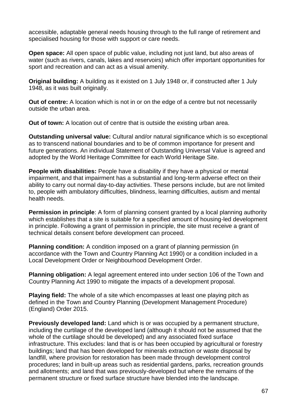accessible, adaptable general needs housing through to the full range of retirement and specialised housing for those with support or care needs.

**Open space:** All open space of public value, including not just land, but also areas of water (such as rivers, canals, lakes and reservoirs) which offer important opportunities for sport and recreation and can act as a visual amenity.

**Original building:** A building as it existed on 1 July 1948 or, if constructed after 1 July 1948, as it was built originally.

**Out of centre:** A location which is not in or on the edge of a centre but not necessarily outside the urban area.

**Out of town:** A location out of centre that is outside the existing urban area.

**Outstanding universal value:** Cultural and/or natural significance which is so exceptional as to transcend national boundaries and to be of common importance for present and future generations. An individual Statement of Outstanding Universal Value is agreed and adopted by the World Heritage Committee for each World Heritage Site.

**People with disabilities:** People have a disability if they have a physical or mental impairment, and that impairment has a substantial and long-term adverse effect on their ability to carry out normal day-to-day activities. These persons include, but are not limited to, people with ambulatory difficulties, blindness, learning difficulties, autism and mental health needs.

**Permission in principle**: A form of planning consent granted by a local planning authority which establishes that a site is suitable for a specified amount of housing-led development in principle. Following a grant of permission in principle, the site must receive a grant of technical details consent before development can proceed.

**Planning condition:** A condition imposed on a grant of planning permission (in accordance with the Town and Country Planning Act 1990) or a condition included in a Local Development Order or Neighbourhood Development Order.

**Planning obligation:** A legal agreement entered into under section 106 of the Town and Country Planning Act 1990 to mitigate the impacts of a development proposal.

**Playing field:** The whole of a site which encompasses at least one playing pitch as defined in the Town and Country Planning (Development Management Procedure) (England) Order 2015.

**Previously developed land:** Land which is or was occupied by a permanent structure, including the curtilage of the developed land (although it should not be assumed that the whole of the curtilage should be developed) and any associated fixed surface infrastructure. This excludes: land that is or has been occupied by agricultural or forestry buildings; land that has been developed for minerals extraction or waste disposal by landfill, where provision for restoration has been made through development control procedures; land in built-up areas such as residential gardens, parks, recreation grounds and allotments; and land that was previously-developed but where the remains of the permanent structure or fixed surface structure have blended into the landscape.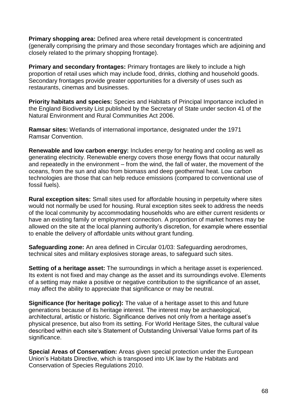**Primary shopping area:** Defined area where retail development is concentrated (generally comprising the primary and those secondary frontages which are adjoining and closely related to the primary shopping frontage).

**Primary and secondary frontages:** Primary frontages are likely to include a high proportion of retail uses which may include food, drinks, clothing and household goods. Secondary frontages provide greater opportunities for a diversity of uses such as restaurants, cinemas and businesses.

**Priority habitats and species:** Species and Habitats of Principal Importance included in the England Biodiversity List published by the Secretary of State under section 41 of the Natural Environment and Rural Communities Act 2006.

**Ramsar sites:** Wetlands of international importance, designated under the 1971 Ramsar Convention.

**Renewable and low carbon energy:** Includes energy for heating and cooling as well as generating electricity. Renewable energy covers those energy flows that occur naturally and repeatedly in the environment – from the wind, the fall of water, the movement of the oceans, from the sun and also from biomass and deep geothermal heat. Low carbon technologies are those that can help reduce emissions (compared to conventional use of fossil fuels).

**Rural exception sites:** Small sites used for affordable housing in perpetuity where sites would not normally be used for housing. Rural exception sites seek to address the needs of the local community by accommodating households who are either current residents or have an existing family or employment connection. A proportion of market homes may be allowed on the site at the local planning authority's discretion, for example where essential to enable the delivery of affordable units without grant funding.

**Safeguarding zone:** An area defined in Circular 01/03: Safeguarding aerodromes, technical sites and military explosives storage areas, to safeguard such sites.

**Setting of a heritage asset:** The surroundings in which a heritage asset is experienced. Its extent is not fixed and may change as the asset and its surroundings evolve. Elements of a setting may make a positive or negative contribution to the significance of an asset, may affect the ability to appreciate that significance or may be neutral.

**Significance (for heritage policy):** The value of a heritage asset to this and future generations because of its heritage interest. The interest may be archaeological, architectural, artistic or historic. Significance derives not only from a heritage asset's physical presence, but also from its setting. For World Heritage Sites, the cultural value described within each site's Statement of Outstanding Universal Value forms part of its significance.

**Special Areas of Conservation:** Areas given special protection under the European Union's Habitats Directive, which is transposed into UK law by the Habitats and Conservation of Species Regulations 2010.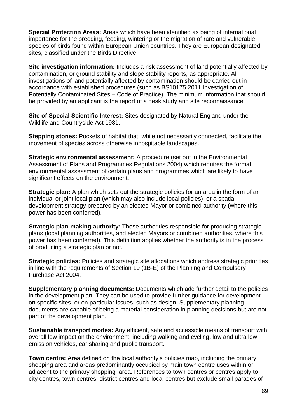**Special Protection Areas:** Areas which have been identified as being of international importance for the breeding, feeding, wintering or the migration of rare and vulnerable species of birds found within European Union countries. They are European designated sites, classified under the Birds Directive.

**Site investigation information:** Includes a risk assessment of land potentially affected by contamination, or ground stability and slope stability reports, as appropriate. All investigations of land potentially affected by contamination should be carried out in accordance with established procedures (such as BS10175:2011 Investigation of Potentially Contaminated Sites – Code of Practice). The minimum information that should be provided by an applicant is the report of a desk study and site reconnaissance.

**Site of Special Scientific Interest:** Sites designated by Natural England under the Wildlife and Countryside Act 1981.

**Stepping stones:** Pockets of habitat that, while not necessarily connected, facilitate the movement of species across otherwise inhospitable landscapes.

**Strategic environmental assessment:** A procedure (set out in the Environmental Assessment of Plans and Programmes Regulations 2004) which requires the formal environmental assessment of certain plans and programmes which are likely to have significant effects on the environment.

**Strategic plan:** A plan which sets out the strategic policies for an area in the form of an individual or joint local plan (which may also include local policies); or a spatial development strategy prepared by an elected Mayor or combined authority (where this power has been conferred).

**Strategic plan-making authority:** Those authorities responsible for producing strategic plans (local planning authorities, and elected Mayors or combined authorities, where this power has been conferred). This definition applies whether the authority is in the process of producing a strategic plan or not.

**Strategic policies:** Policies and strategic site allocations which address strategic priorities in line with the requirements of Section 19 (1B-E) of the Planning and Compulsory Purchase Act 2004.

**Supplementary planning documents:** Documents which add further detail to the policies in the development plan. They can be used to provide further guidance for development on specific sites, or on particular issues, such as design. Supplementary planning documents are capable of being a material consideration in planning decisions but are not part of the development plan.

**Sustainable transport modes:** Any efficient, safe and accessible means of transport with overall low impact on the environment, including walking and cycling, low and ultra low emission vehicles, car sharing and public transport.

**Town centre:** Area defined on the local authority's policies map, including the primary shopping area and areas predominantly occupied by main town centre uses within or adjacent to the primary shopping area. References to town centres or centres apply to city centres, town centres, district centres and local centres but exclude small parades of